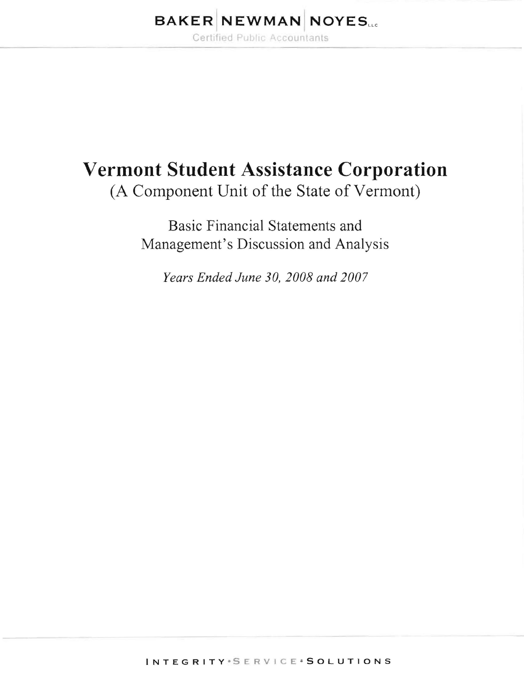# **BAKER NEWMAN NOYES.**

Certified Public Accountants

# **Vermont Student Assistance Corporation**

(A Component Unit of the State of Vermont)

Basic Financial Statements and Management's Discussion and Analysis

*Years Ended June 30,2008 and 2007*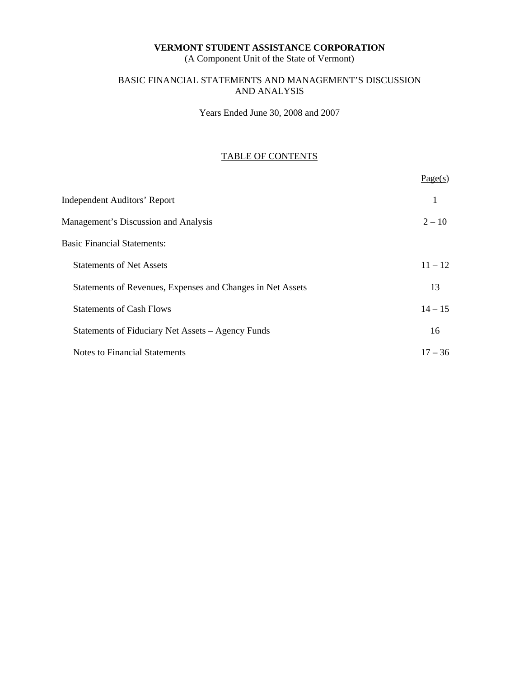(A Component Unit of the State of Vermont)

# BASIC FINANCIAL STATEMENTS AND MANAGEMENT'S DISCUSSION AND ANALYSIS

Years Ended June 30, 2008 and 2007

# TABLE OF CONTENTS

|                                                            | Page(s)   |
|------------------------------------------------------------|-----------|
| <b>Independent Auditors' Report</b>                        | 1         |
| Management's Discussion and Analysis                       | $2 - 10$  |
| <b>Basic Financial Statements:</b>                         |           |
| <b>Statements of Net Assets</b>                            | $11 - 12$ |
| Statements of Revenues, Expenses and Changes in Net Assets | 13        |
| <b>Statements of Cash Flows</b>                            | $14 - 15$ |
| Statements of Fiduciary Net Assets – Agency Funds          | 16        |
| <b>Notes to Financial Statements</b>                       | $17 - 36$ |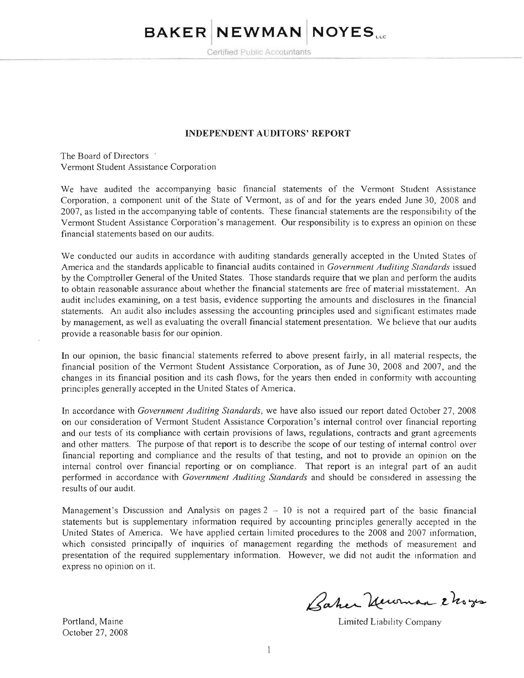# **BAKER INEWMAN I NOYESLLc**

Certified Public Accountants

#### **INDEPENDENT AUDITORS' REPORT**

The Board of Directors . Vermont Student Assistance Corporation

We have audited the accompanying basic financial statements of the Vermont Student Assistance Corporation, a component unit of the State of Vermont, as of and for the years ended June 30, 2008 and 2007, as listed in the accompanying table of contents. These financial statements are the responsibility of the Vermont Student Assistance Corporation's management. Our responsibility is to express an opinion on these financial statements based on our audits.

We conducted our audits in accordance with auditing standards generally accepted in the United States of America and the standards applicable to financial audits contained in *Government Auditing Standards* issued by the Comptroller General of the United States. Those standards require that we plan and perform the audits to obtain reasonable assurance about whether the financial statements are free of material misstatement. An audit includes examining, on a test basis, evidence supporting the amounts and disclosures in the financial statements. An audit also includes assessing the accounting principles used and significant estimates made by management, as well as evaluating the overall financial statement presentation. We helieve that our audits provide a reasonable basis for our opinion.

In our opinion, the basic financial statements referred to above present fairly, in all material respects, the financial position of the Vermont Student Assistance Corporation, as of June 30, 2008 and 2007, and the changes in its financial position and its cash flows, for the years then ended in conformity with accounting principles generally accepted in the United States of America.

In accordance with *Government Auditing Standards,* we have also issued our report dated October 27, 2008 on our consideration of Vermont Student Assistance Corporation's internal control over financial reporting and our tests of its compliance with certain provisions of laws, regulations, contracts and grant agreements and other matters. The purpose of that report is to describe the scope of our testing of internal control over financial reporting and compliance and the results of that testing, and not to provide an opinion on the internal control over financial reporting or on compliance. That report is an integral part of an audit performed in accordance with *Government Auditing Standards* and should be considered in assessing the results of our audit.

Management's Discussion and Analysis on pages  $2 - 10$  is not a required part of the basic financial statements but is supplementary information required by accounting principles generally accepted in the United States of America. We have applied certain limited procedures to the 2008 and 2007 information, which consisted principally of inquiries of management regarding the methods of measurement and presentation of the required supplementary information. However, we did not audit the infonnation and express no opinion on it.

October 27, 2008

Baher Unoman 2 hoges

Portland, Maine **Limited Limited Limited Limited Limited Limited Limited Limited Limited Limited Limited Limited Limited Limited Limited Limited Limited Limited Limited Limited Limited Limited Limited Limited Limited Limit**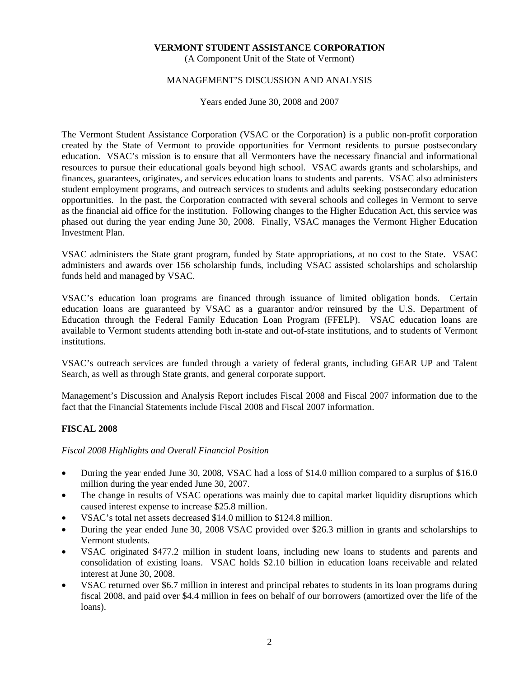(A Component Unit of the State of Vermont)

# MANAGEMENT'S DISCUSSION AND ANALYSIS

Years ended June 30, 2008 and 2007

The Vermont Student Assistance Corporation (VSAC or the Corporation) is a public non-profit corporation created by the State of Vermont to provide opportunities for Vermont residents to pursue postsecondary education. VSAC's mission is to ensure that all Vermonters have the necessary financial and informational resources to pursue their educational goals beyond high school. VSAC awards grants and scholarships, and finances, guarantees, originates, and services education loans to students and parents. VSAC also administers student employment programs, and outreach services to students and adults seeking postsecondary education opportunities. In the past, the Corporation contracted with several schools and colleges in Vermont to serve as the financial aid office for the institution. Following changes to the Higher Education Act, this service was phased out during the year ending June 30, 2008. Finally, VSAC manages the Vermont Higher Education Investment Plan.

VSAC administers the State grant program, funded by State appropriations, at no cost to the State. VSAC administers and awards over 156 scholarship funds, including VSAC assisted scholarships and scholarship funds held and managed by VSAC.

VSAC's education loan programs are financed through issuance of limited obligation bonds. Certain education loans are guaranteed by VSAC as a guarantor and/or reinsured by the U.S. Department of Education through the Federal Family Education Loan Program (FFELP). VSAC education loans are available to Vermont students attending both in-state and out-of-state institutions, and to students of Vermont institutions.

VSAC's outreach services are funded through a variety of federal grants, including GEAR UP and Talent Search, as well as through State grants, and general corporate support.

Management's Discussion and Analysis Report includes Fiscal 2008 and Fiscal 2007 information due to the fact that the Financial Statements include Fiscal 2008 and Fiscal 2007 information.

# **FISCAL 2008**

# *Fiscal 2008 Highlights and Overall Financial Position*

- During the year ended June 30, 2008, VSAC had a loss of \$14.0 million compared to a surplus of \$16.0 million during the year ended June 30, 2007.
- The change in results of VSAC operations was mainly due to capital market liquidity disruptions which caused interest expense to increase \$25.8 million.
- VSAC's total net assets decreased \$14.0 million to \$124.8 million.
- During the year ended June 30, 2008 VSAC provided over \$26.3 million in grants and scholarships to Vermont students.
- VSAC originated \$477.2 million in student loans, including new loans to students and parents and consolidation of existing loans. VSAC holds \$2.10 billion in education loans receivable and related interest at June 30, 2008.
- VSAC returned over \$6.7 million in interest and principal rebates to students in its loan programs during fiscal 2008, and paid over \$4.4 million in fees on behalf of our borrowers (amortized over the life of the loans).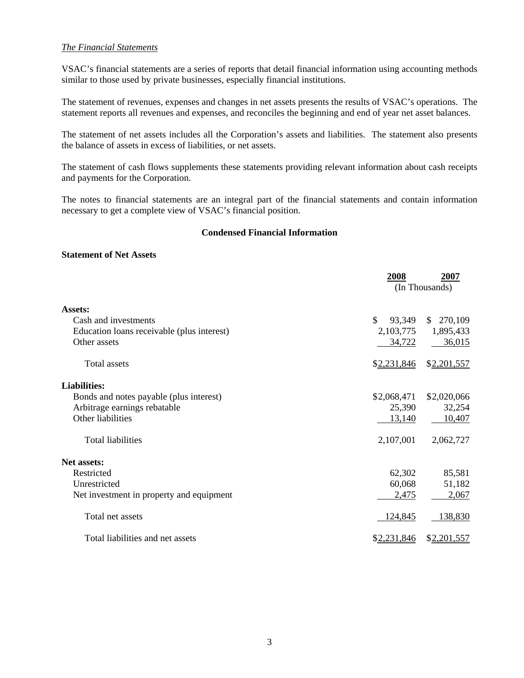# *The Financial Statements*

VSAC's financial statements are a series of reports that detail financial information using accounting methods similar to those used by private businesses, especially financial institutions.

The statement of revenues, expenses and changes in net assets presents the results of VSAC's operations. The statement reports all revenues and expenses, and reconciles the beginning and end of year net asset balances.

The statement of net assets includes all the Corporation's assets and liabilities. The statement also presents the balance of assets in excess of liabilities, or net assets.

The statement of cash flows supplements these statements providing relevant information about cash receipts and payments for the Corporation.

The notes to financial statements are an integral part of the financial statements and contain information necessary to get a complete view of VSAC's financial position.

# **Condensed Financial Information**

# **Statement of Net Assets**

|                                            | 2008         | 2007<br>(In Thousands) |
|--------------------------------------------|--------------|------------------------|
| Assets:                                    |              |                        |
| Cash and investments                       | \$<br>93,349 | \$270,109              |
| Education loans receivable (plus interest) | 2,103,775    | 1,895,433              |
| Other assets                               | 34,722       | 36,015                 |
| <b>Total assets</b>                        | \$2,231,846  | \$2,201,557            |
| <b>Liabilities:</b>                        |              |                        |
| Bonds and notes payable (plus interest)    | \$2,068,471  | \$2,020,066            |
| Arbitrage earnings rebatable               | 25,390       | 32,254                 |
| Other liabilities                          | 13,140       | 10,407                 |
| <b>Total liabilities</b>                   | 2,107,001    | 2,062,727              |
| <b>Net assets:</b>                         |              |                        |
| Restricted                                 | 62,302       | 85,581                 |
| Unrestricted                               | 60,068       | 51,182                 |
| Net investment in property and equipment   | 2,475        | 2,067                  |
| Total net assets                           | 124,845      | 138,830                |
| Total liabilities and net assets           | \$2,231,846  | \$2,201,557            |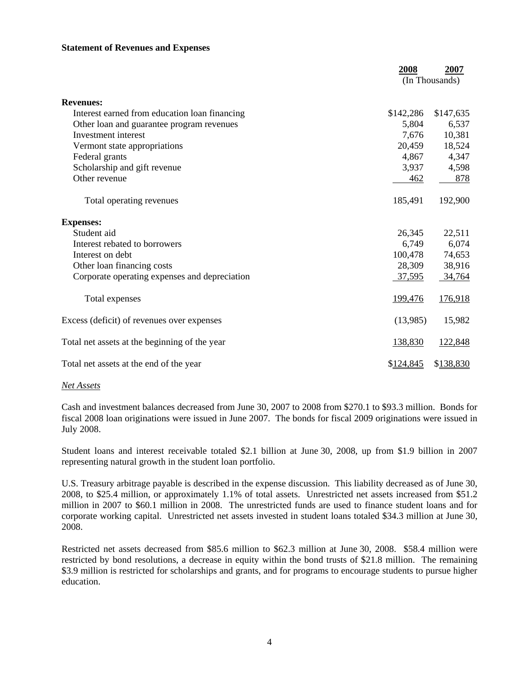# **Statement of Revenues and Expenses**

|                                               | 2008      | 2007<br>(In Thousands) |
|-----------------------------------------------|-----------|------------------------|
| <b>Revenues:</b>                              |           |                        |
| Interest earned from education loan financing | \$142,286 | \$147,635              |
| Other loan and guarantee program revenues     | 5,804     | 6,537                  |
| Investment interest                           | 7,676     | 10,381                 |
| Vermont state appropriations                  | 20,459    | 18,524                 |
| Federal grants                                | 4,867     | 4,347                  |
| Scholarship and gift revenue                  | 3,937     | 4,598                  |
| Other revenue                                 | 462       | 878                    |
| Total operating revenues                      | 185,491   | 192,900                |
| <b>Expenses:</b>                              |           |                        |
| Student aid                                   | 26,345    | 22,511                 |
| Interest rebated to borrowers                 | 6,749     | 6,074                  |
| Interest on debt                              | 100,478   | 74,653                 |
| Other loan financing costs                    | 28,309    | 38,916                 |
| Corporate operating expenses and depreciation | 37,595    | 34,764                 |
| Total expenses                                | 199,476   | 176,918                |
| Excess (deficit) of revenues over expenses    | (13,985)  | 15,982                 |
| Total net assets at the beginning of the year | 138,830   | 122,848                |
| Total net assets at the end of the year       | \$124,845 | \$138,830              |

## *Net Assets*

Cash and investment balances decreased from June 30, 2007 to 2008 from \$270.1 to \$93.3 million. Bonds for fiscal 2008 loan originations were issued in June 2007. The bonds for fiscal 2009 originations were issued in July 2008.

Student loans and interest receivable totaled \$2.1 billion at June 30, 2008, up from \$1.9 billion in 2007 representing natural growth in the student loan portfolio.

U.S. Treasury arbitrage payable is described in the expense discussion. This liability decreased as of June 30, 2008, to \$25.4 million, or approximately 1.1% of total assets. Unrestricted net assets increased from \$51.2 million in 2007 to \$60.1 million in 2008. The unrestricted funds are used to finance student loans and for corporate working capital. Unrestricted net assets invested in student loans totaled \$34.3 million at June 30, 2008.

Restricted net assets decreased from \$85.6 million to \$62.3 million at June 30, 2008. \$58.4 million were restricted by bond resolutions, a decrease in equity within the bond trusts of \$21.8 million. The remaining \$3.9 million is restricted for scholarships and grants, and for programs to encourage students to pursue higher education.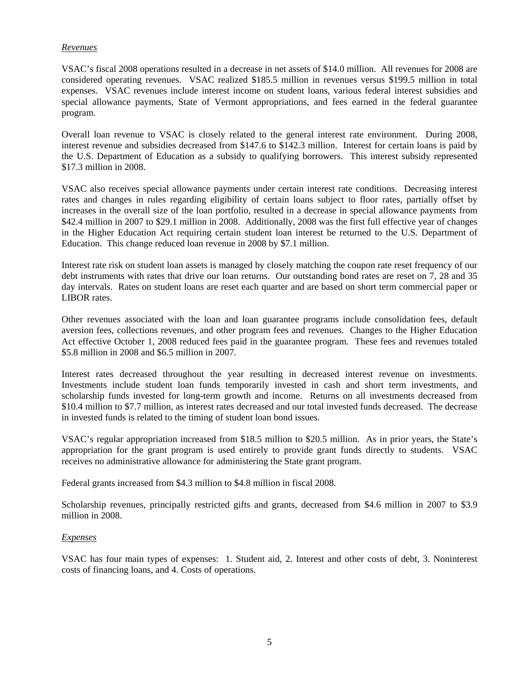# *Revenues*

VSAC's fiscal 2008 operations resulted in a decrease in net assets of \$14.0 million. All revenues for 2008 are considered operating revenues. VSAC realized \$185.5 million in revenues versus \$199.5 million in total expenses. VSAC revenues include interest income on student loans, various federal interest subsidies and special allowance payments, State of Vermont appropriations, and fees earned in the federal guarantee program.

Overall loan revenue to VSAC is closely related to the general interest rate environment. During 2008, interest revenue and subsidies decreased from \$147.6 to \$142.3 million. Interest for certain loans is paid by the U.S. Department of Education as a subsidy to qualifying borrowers. This interest subsidy represented \$17.3 million in 2008.

VSAC also receives special allowance payments under certain interest rate conditions. Decreasing interest rates and changes in rules regarding eligibility of certain loans subject to floor rates, partially offset by increases in the overall size of the loan portfolio, resulted in a decrease in special allowance payments from \$42.4 million in 2007 to \$29.1 million in 2008. Additionally, 2008 was the first full effective year of changes in the Higher Education Act requiring certain student loan interest be returned to the U.S. Department of Education. This change reduced loan revenue in 2008 by \$7.1 million.

Interest rate risk on student loan assets is managed by closely matching the coupon rate reset frequency of our debt instruments with rates that drive our loan returns. Our outstanding bond rates are reset on 7, 28 and 35 day intervals. Rates on student loans are reset each quarter and are based on short term commercial paper or LIBOR rates.

Other revenues associated with the loan and loan guarantee programs include consolidation fees, default aversion fees, collections revenues, and other program fees and revenues. Changes to the Higher Education Act effective October 1, 2008 reduced fees paid in the guarantee program. These fees and revenues totaled \$5.8 million in 2008 and \$6.5 million in 2007.

Interest rates decreased throughout the year resulting in decreased interest revenue on investments. Investments include student loan funds temporarily invested in cash and short term investments, and scholarship funds invested for long-term growth and income. Returns on all investments decreased from \$10.4 million to \$7.7 million, as interest rates decreased and our total invested funds decreased. The decrease in invested funds is related to the timing of student loan bond issues.

VSAC's regular appropriation increased from \$18.5 million to \$20.5 million. As in prior years, the State's appropriation for the grant program is used entirely to provide grant funds directly to students. VSAC receives no administrative allowance for administering the State grant program.

Federal grants increased from \$4.3 million to \$4.8 million in fiscal 2008.

Scholarship revenues, principally restricted gifts and grants, decreased from \$4.6 million in 2007 to \$3.9 million in 2008.

# *Expenses*

VSAC has four main types of expenses: 1. Student aid, 2. Interest and other costs of debt, 3. Noninterest costs of financing loans, and 4. Costs of operations.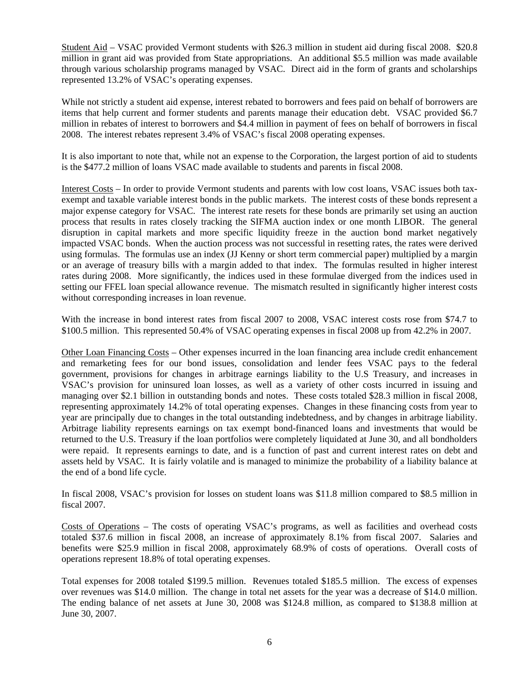Student Aid – VSAC provided Vermont students with \$26.3 million in student aid during fiscal 2008. \$20.8 million in grant aid was provided from State appropriations. An additional \$5.5 million was made available through various scholarship programs managed by VSAC. Direct aid in the form of grants and scholarships represented 13.2% of VSAC's operating expenses.

While not strictly a student aid expense, interest rebated to borrowers and fees paid on behalf of borrowers are items that help current and former students and parents manage their education debt. VSAC provided \$6.7 million in rebates of interest to borrowers and \$4.4 million in payment of fees on behalf of borrowers in fiscal 2008. The interest rebates represent 3.4% of VSAC's fiscal 2008 operating expenses.

It is also important to note that, while not an expense to the Corporation, the largest portion of aid to students is the \$477.2 million of loans VSAC made available to students and parents in fiscal 2008.

Interest Costs – In order to provide Vermont students and parents with low cost loans, VSAC issues both taxexempt and taxable variable interest bonds in the public markets. The interest costs of these bonds represent a major expense category for VSAC. The interest rate resets for these bonds are primarily set using an auction process that results in rates closely tracking the SIFMA auction index or one month LIBOR. The general disruption in capital markets and more specific liquidity freeze in the auction bond market negatively impacted VSAC bonds. When the auction process was not successful in resetting rates, the rates were derived using formulas. The formulas use an index (JJ Kenny or short term commercial paper) multiplied by a margin or an average of treasury bills with a margin added to that index. The formulas resulted in higher interest rates during 2008. More significantly, the indices used in these formulae diverged from the indices used in setting our FFEL loan special allowance revenue. The mismatch resulted in significantly higher interest costs without corresponding increases in loan revenue.

With the increase in bond interest rates from fiscal 2007 to 2008, VSAC interest costs rose from \$74.7 to \$100.5 million. This represented 50.4% of VSAC operating expenses in fiscal 2008 up from 42.2% in 2007.

Other Loan Financing Costs – Other expenses incurred in the loan financing area include credit enhancement and remarketing fees for our bond issues, consolidation and lender fees VSAC pays to the federal government, provisions for changes in arbitrage earnings liability to the U.S Treasury, and increases in VSAC's provision for uninsured loan losses, as well as a variety of other costs incurred in issuing and managing over \$2.1 billion in outstanding bonds and notes. These costs totaled \$28.3 million in fiscal 2008, representing approximately 14.2% of total operating expenses. Changes in these financing costs from year to year are principally due to changes in the total outstanding indebtedness, and by changes in arbitrage liability. Arbitrage liability represents earnings on tax exempt bond-financed loans and investments that would be returned to the U.S. Treasury if the loan portfolios were completely liquidated at June 30, and all bondholders were repaid. It represents earnings to date, and is a function of past and current interest rates on debt and assets held by VSAC. It is fairly volatile and is managed to minimize the probability of a liability balance at the end of a bond life cycle.

In fiscal 2008, VSAC's provision for losses on student loans was \$11.8 million compared to \$8.5 million in fiscal 2007.

Costs of Operations – The costs of operating VSAC's programs, as well as facilities and overhead costs totaled \$37.6 million in fiscal 2008, an increase of approximately 8.1% from fiscal 2007. Salaries and benefits were \$25.9 million in fiscal 2008, approximately 68.9% of costs of operations. Overall costs of operations represent 18.8% of total operating expenses.

Total expenses for 2008 totaled \$199.5 million. Revenues totaled \$185.5 million. The excess of expenses over revenues was \$14.0 million. The change in total net assets for the year was a decrease of \$14.0 million. The ending balance of net assets at June 30, 2008 was \$124.8 million, as compared to \$138.8 million at June 30, 2007.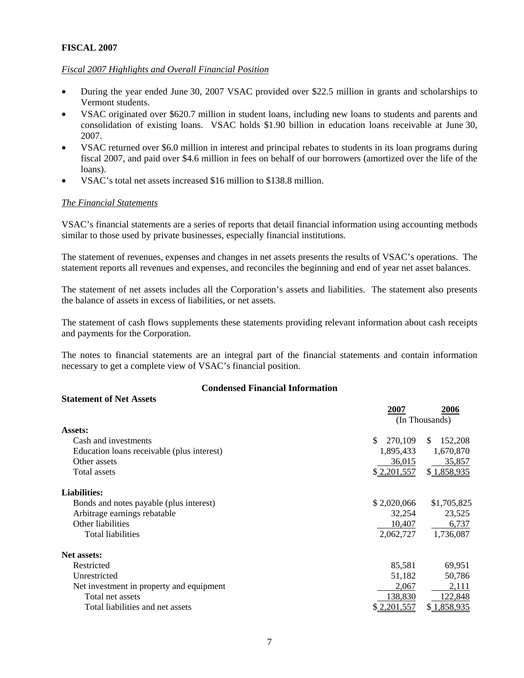# **FISCAL 2007**

# *Fiscal 2007 Highlights and Overall Financial Position*

- During the year ended June 30, 2007 VSAC provided over \$22.5 million in grants and scholarships to Vermont students.
- VSAC originated over \$620.7 million in student loans, including new loans to students and parents and consolidation of existing loans. VSAC holds \$1.90 billion in education loans receivable at June 30, 2007.
- VSAC returned over \$6.0 million in interest and principal rebates to students in its loan programs during fiscal 2007, and paid over \$4.6 million in fees on behalf of our borrowers (amortized over the life of the loans).
- VSAC's total net assets increased \$16 million to \$138.8 million.

# *The Financial Statements*

VSAC's financial statements are a series of reports that detail financial information using accounting methods similar to those used by private businesses, especially financial institutions.

The statement of revenues, expenses and changes in net assets presents the results of VSAC's operations. The statement reports all revenues and expenses, and reconciles the beginning and end of year net asset balances.

The statement of net assets includes all the Corporation's assets and liabilities. The statement also presents the balance of assets in excess of liabilities, or net assets.

The statement of cash flows supplements these statements providing relevant information about cash receipts and payments for the Corporation.

The notes to financial statements are an integral part of the financial statements and contain information necessary to get a complete view of VSAC's financial position.

# **Condensed Financial Information**

# **Statement of Net Assets**

|                                            | 2007          | 2006           |
|--------------------------------------------|---------------|----------------|
|                                            |               | (In Thousands) |
| <b>Assets:</b>                             |               |                |
| Cash and investments                       | \$<br>270,109 | 152,208<br>\$. |
| Education loans receivable (plus interest) | 1,895,433     | 1,670,870      |
| Other assets                               | 36,015        | 35,857         |
| Total assets                               | \$2,201,557   | \$1,858,935    |
| <b>Liabilities:</b>                        |               |                |
| Bonds and notes payable (plus interest)    | \$2,020,066   | \$1,705,825    |
| Arbitrage earnings rebatable               | 32,254        | 23,525         |
| Other liabilities                          | 10,407        | 6,737          |
| Total liabilities                          | 2,062,727     | 1,736,087      |
| <b>Net assets:</b>                         |               |                |
| Restricted                                 | 85,581        | 69,951         |
| Unrestricted                               | 51,182        | 50,786         |
| Net investment in property and equipment   | 2.067         | 2,111          |
| Total net assets                           | 138,830       | 122,848        |
| Total liabilities and net assets           | \$2,201,557   | \$1,858,935    |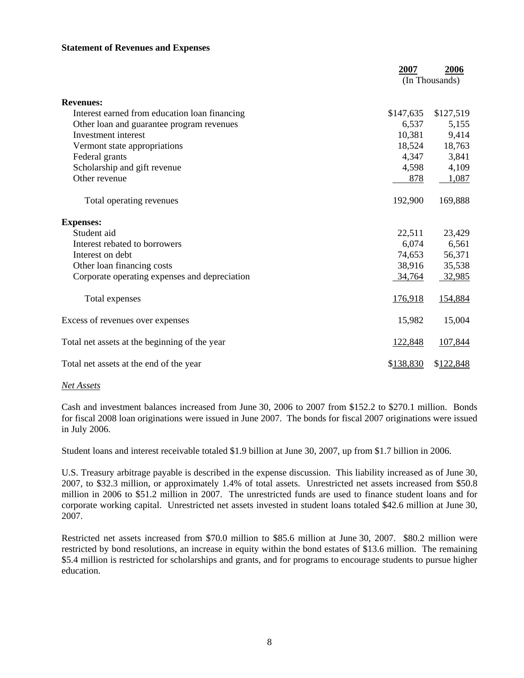# **Statement of Revenues and Expenses**

|                                               | 2007           | 2006      |
|-----------------------------------------------|----------------|-----------|
|                                               | (In Thousands) |           |
| <b>Revenues:</b>                              |                |           |
| Interest earned from education loan financing | \$147,635      | \$127,519 |
| Other loan and guarantee program revenues     | 6,537          | 5,155     |
| Investment interest                           | 10,381         | 9,414     |
| Vermont state appropriations                  | 18,524         | 18,763    |
| Federal grants                                | 4,347          | 3,841     |
| Scholarship and gift revenue                  | 4,598          | 4,109     |
| Other revenue                                 | 878            | 1,087     |
| Total operating revenues                      | 192,900        | 169,888   |
| <b>Expenses:</b>                              |                |           |
| Student aid                                   | 22,511         | 23,429    |
| Interest rebated to borrowers                 | 6,074          | 6,561     |
| Interest on debt                              | 74,653         | 56,371    |
| Other loan financing costs                    | 38,916         | 35,538    |
| Corporate operating expenses and depreciation | 34,764         | 32,985    |
| Total expenses                                | 176,918        | 154,884   |
| Excess of revenues over expenses              | 15,982         | 15,004    |
| Total net assets at the beginning of the year | 122,848        | 107,844   |
| Total net assets at the end of the year       | \$138,830      | \$122,848 |

## *Net Assets*

Cash and investment balances increased from June 30, 2006 to 2007 from \$152.2 to \$270.1 million. Bonds for fiscal 2008 loan originations were issued in June 2007. The bonds for fiscal 2007 originations were issued in July 2006.

Student loans and interest receivable totaled \$1.9 billion at June 30, 2007, up from \$1.7 billion in 2006.

U.S. Treasury arbitrage payable is described in the expense discussion. This liability increased as of June 30, 2007, to \$32.3 million, or approximately 1.4% of total assets. Unrestricted net assets increased from \$50.8 million in 2006 to \$51.2 million in 2007. The unrestricted funds are used to finance student loans and for corporate working capital. Unrestricted net assets invested in student loans totaled \$42.6 million at June 30, 2007.

Restricted net assets increased from \$70.0 million to \$85.6 million at June 30, 2007. \$80.2 million were restricted by bond resolutions, an increase in equity within the bond estates of \$13.6 million. The remaining \$5.4 million is restricted for scholarships and grants, and for programs to encourage students to pursue higher education.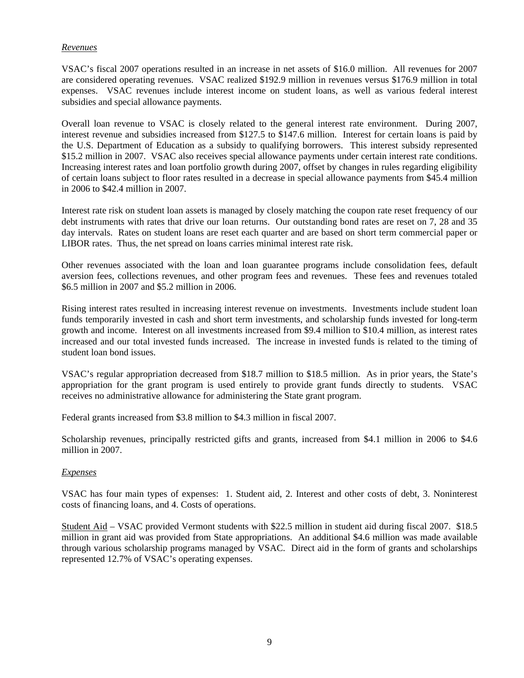# *Revenues*

VSAC's fiscal 2007 operations resulted in an increase in net assets of \$16.0 million. All revenues for 2007 are considered operating revenues. VSAC realized \$192.9 million in revenues versus \$176.9 million in total expenses. VSAC revenues include interest income on student loans, as well as various federal interest subsidies and special allowance payments.

Overall loan revenue to VSAC is closely related to the general interest rate environment. During 2007, interest revenue and subsidies increased from \$127.5 to \$147.6 million. Interest for certain loans is paid by the U.S. Department of Education as a subsidy to qualifying borrowers. This interest subsidy represented \$15.2 million in 2007. VSAC also receives special allowance payments under certain interest rate conditions. Increasing interest rates and loan portfolio growth during 2007, offset by changes in rules regarding eligibility of certain loans subject to floor rates resulted in a decrease in special allowance payments from \$45.4 million in 2006 to \$42.4 million in 2007.

Interest rate risk on student loan assets is managed by closely matching the coupon rate reset frequency of our debt instruments with rates that drive our loan returns. Our outstanding bond rates are reset on 7, 28 and 35 day intervals. Rates on student loans are reset each quarter and are based on short term commercial paper or LIBOR rates. Thus, the net spread on loans carries minimal interest rate risk.

Other revenues associated with the loan and loan guarantee programs include consolidation fees, default aversion fees, collections revenues, and other program fees and revenues. These fees and revenues totaled \$6.5 million in 2007 and \$5.2 million in 2006.

Rising interest rates resulted in increasing interest revenue on investments. Investments include student loan funds temporarily invested in cash and short term investments, and scholarship funds invested for long-term growth and income. Interest on all investments increased from \$9.4 million to \$10.4 million, as interest rates increased and our total invested funds increased. The increase in invested funds is related to the timing of student loan bond issues.

VSAC's regular appropriation decreased from \$18.7 million to \$18.5 million. As in prior years, the State's appropriation for the grant program is used entirely to provide grant funds directly to students. VSAC receives no administrative allowance for administering the State grant program.

Federal grants increased from \$3.8 million to \$4.3 million in fiscal 2007.

Scholarship revenues, principally restricted gifts and grants, increased from \$4.1 million in 2006 to \$4.6 million in 2007.

# *Expenses*

VSAC has four main types of expenses: 1. Student aid, 2. Interest and other costs of debt, 3. Noninterest costs of financing loans, and 4. Costs of operations.

Student Aid – VSAC provided Vermont students with \$22.5 million in student aid during fiscal 2007. \$18.5 million in grant aid was provided from State appropriations. An additional \$4.6 million was made available through various scholarship programs managed by VSAC. Direct aid in the form of grants and scholarships represented 12.7% of VSAC's operating expenses.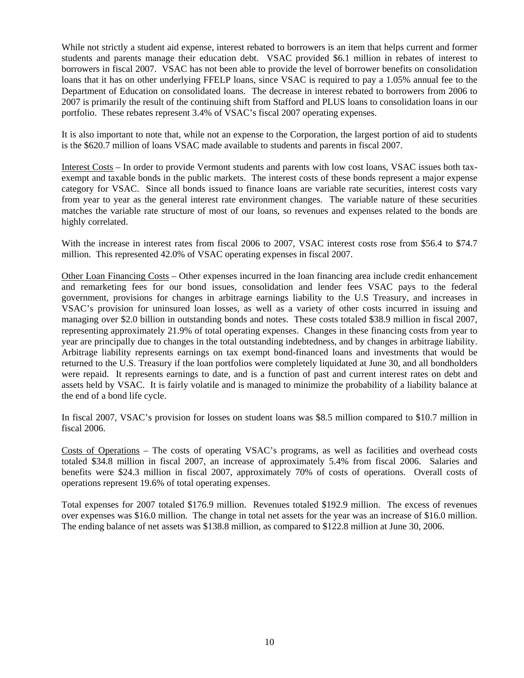While not strictly a student aid expense, interest rebated to borrowers is an item that helps current and former students and parents manage their education debt. VSAC provided \$6.1 million in rebates of interest to borrowers in fiscal 2007. VSAC has not been able to provide the level of borrower benefits on consolidation loans that it has on other underlying FFELP loans, since VSAC is required to pay a 1.05% annual fee to the Department of Education on consolidated loans. The decrease in interest rebated to borrowers from 2006 to 2007 is primarily the result of the continuing shift from Stafford and PLUS loans to consolidation loans in our portfolio. These rebates represent 3.4% of VSAC's fiscal 2007 operating expenses.

It is also important to note that, while not an expense to the Corporation, the largest portion of aid to students is the \$620.7 million of loans VSAC made available to students and parents in fiscal 2007.

Interest Costs – In order to provide Vermont students and parents with low cost loans, VSAC issues both taxexempt and taxable bonds in the public markets. The interest costs of these bonds represent a major expense category for VSAC. Since all bonds issued to finance loans are variable rate securities, interest costs vary from year to year as the general interest rate environment changes. The variable nature of these securities matches the variable rate structure of most of our loans, so revenues and expenses related to the bonds are highly correlated.

With the increase in interest rates from fiscal 2006 to 2007, VSAC interest costs rose from \$56.4 to \$74.7 million. This represented 42.0% of VSAC operating expenses in fiscal 2007.

Other Loan Financing Costs – Other expenses incurred in the loan financing area include credit enhancement and remarketing fees for our bond issues, consolidation and lender fees VSAC pays to the federal government, provisions for changes in arbitrage earnings liability to the U.S Treasury, and increases in VSAC's provision for uninsured loan losses, as well as a variety of other costs incurred in issuing and managing over \$2.0 billion in outstanding bonds and notes. These costs totaled \$38.9 million in fiscal 2007, representing approximately 21.9% of total operating expenses. Changes in these financing costs from year to year are principally due to changes in the total outstanding indebtedness, and by changes in arbitrage liability. Arbitrage liability represents earnings on tax exempt bond-financed loans and investments that would be returned to the U.S. Treasury if the loan portfolios were completely liquidated at June 30, and all bondholders were repaid. It represents earnings to date, and is a function of past and current interest rates on debt and assets held by VSAC. It is fairly volatile and is managed to minimize the probability of a liability balance at the end of a bond life cycle.

In fiscal 2007, VSAC's provision for losses on student loans was \$8.5 million compared to \$10.7 million in fiscal 2006.

Costs of Operations – The costs of operating VSAC's programs, as well as facilities and overhead costs totaled \$34.8 million in fiscal 2007, an increase of approximately 5.4% from fiscal 2006. Salaries and benefits were \$24.3 million in fiscal 2007, approximately 70% of costs of operations. Overall costs of operations represent 19.6% of total operating expenses.

Total expenses for 2007 totaled \$176.9 million. Revenues totaled \$192.9 million. The excess of revenues over expenses was \$16.0 million. The change in total net assets for the year was an increase of \$16.0 million. The ending balance of net assets was \$138.8 million, as compared to \$122.8 million at June 30, 2006.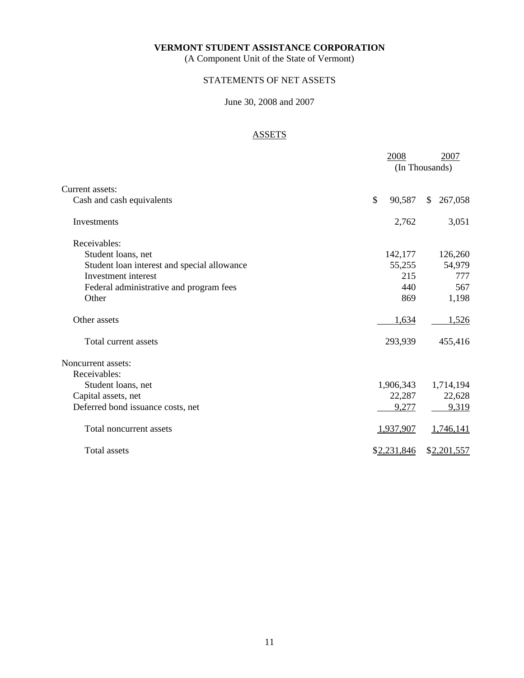(A Component Unit of the State of Vermont)

# STATEMENTS OF NET ASSETS

# June 30, 2008 and 2007

# ASSETS

|                                             | 2008         | 2007<br>(In Thousands) |
|---------------------------------------------|--------------|------------------------|
| Current assets:                             |              |                        |
| Cash and cash equivalents                   | \$<br>90,587 | \$<br>267,058          |
| Investments                                 | 2,762        | 3,051                  |
| Receivables:                                |              |                        |
| Student loans, net                          | 142,177      | 126,260                |
| Student loan interest and special allowance | 55,255       | 54,979                 |
| Investment interest                         | 215          | 777                    |
| Federal administrative and program fees     | 440          | 567                    |
| Other                                       | 869          | 1,198                  |
| Other assets                                | 1,634        | 1,526                  |
| Total current assets                        | 293,939      | 455,416                |
| Noncurrent assets:                          |              |                        |
| Receivables:                                |              |                        |
| Student loans, net                          | 1,906,343    | 1,714,194              |
| Capital assets, net                         | 22,287       | 22,628                 |
| Deferred bond issuance costs, net           | 9,277        | 9,319                  |
| Total noncurrent assets                     | 1,937,907    | 1,746,141              |
| <b>Total assets</b>                         | \$2,231,846  | \$2,201,557            |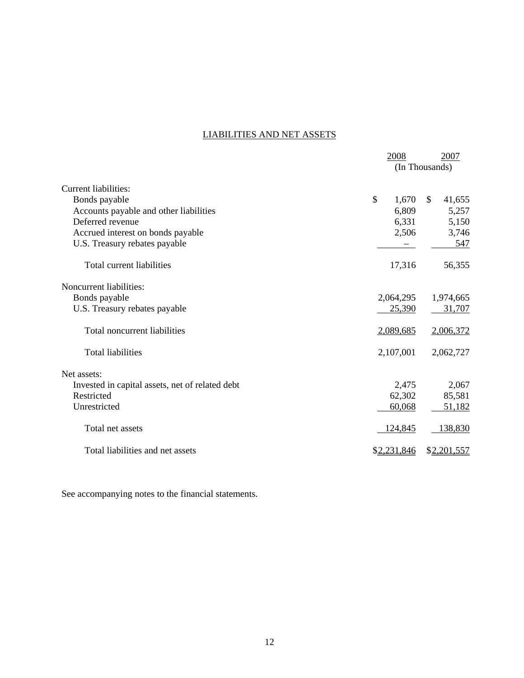# LIABILITIES AND NET ASSETS

|                                                 | 2008        | 2007           |
|-------------------------------------------------|-------------|----------------|
|                                                 |             | (In Thousands) |
| Current liabilities:                            |             |                |
| Bonds payable                                   | \$<br>1,670 | \$<br>41,655   |
| Accounts payable and other liabilities          | 6,809       | 5,257          |
| Deferred revenue                                | 6,331       | 5,150          |
| Accrued interest on bonds payable               | 2,506       | 3,746          |
| U.S. Treasury rebates payable                   |             | 547            |
| Total current liabilities                       | 17,316      | 56,355         |
| Noncurrent liabilities:                         |             |                |
| Bonds payable                                   | 2,064,295   | 1,974,665      |
| U.S. Treasury rebates payable                   | 25,390      | 31,707         |
| <b>Total noncurrent liabilities</b>             | 2,089,685   | 2,006,372      |
| <b>Total liabilities</b>                        | 2,107,001   | 2,062,727      |
| Net assets:                                     |             |                |
| Invested in capital assets, net of related debt | 2,475       | 2,067          |
| Restricted                                      | 62,302      | 85,581         |
| Unrestricted                                    | 60,068      | 51,182         |
| Total net assets                                | 124,845     | 138,830        |
| Total liabilities and net assets                | \$2,231,846 | \$2,201,557    |

See accompanying notes to the financial statements.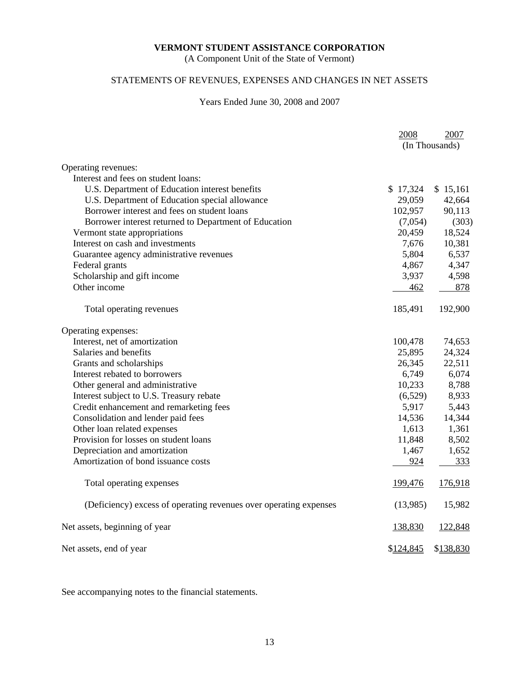(A Component Unit of the State of Vermont)

# STATEMENTS OF REVENUES, EXPENSES AND CHANGES IN NET ASSETS

# Years Ended June 30, 2008 and 2007

|                                                                   | 2008      | 2007           |
|-------------------------------------------------------------------|-----------|----------------|
|                                                                   |           | (In Thousands) |
|                                                                   |           |                |
| Operating revenues:                                               |           |                |
| Interest and fees on student loans:                               |           |                |
| U.S. Department of Education interest benefits                    | \$17,324  | \$15,161       |
| U.S. Department of Education special allowance                    | 29,059    | 42,664         |
| Borrower interest and fees on student loans                       | 102,957   | 90,113         |
| Borrower interest returned to Department of Education             | (7,054)   | (303)          |
| Vermont state appropriations                                      | 20,459    | 18,524         |
| Interest on cash and investments                                  | 7,676     | 10,381         |
| Guarantee agency administrative revenues                          | 5,804     | 6,537          |
| Federal grants                                                    | 4,867     | 4,347          |
| Scholarship and gift income                                       | 3,937     | 4,598          |
| Other income                                                      | 462       | 878            |
| Total operating revenues                                          | 185,491   | 192,900        |
| Operating expenses:                                               |           |                |
| Interest, net of amortization                                     | 100,478   | 74,653         |
| Salaries and benefits                                             | 25,895    | 24,324         |
| Grants and scholarships                                           | 26,345    | 22,511         |
| Interest rebated to borrowers                                     | 6,749     | 6,074          |
| Other general and administrative                                  | 10,233    | 8,788          |
| Interest subject to U.S. Treasury rebate                          | (6,529)   | 8,933          |
| Credit enhancement and remarketing fees                           | 5,917     | 5,443          |
| Consolidation and lender paid fees                                | 14,536    | 14,344         |
| Other loan related expenses                                       | 1,613     | 1,361          |
| Provision for losses on student loans                             | 11,848    | 8,502          |
| Depreciation and amortization                                     | 1,467     | 1,652          |
| Amortization of bond issuance costs                               | 924       | 333            |
| Total operating expenses                                          | 199,476   | 176,918        |
| (Deficiency) excess of operating revenues over operating expenses | (13,985)  | 15,982         |
| Net assets, beginning of year                                     | 138,830   | 122,848        |
| Net assets, end of year                                           | \$124,845 | \$138,830      |

See accompanying notes to the financial statements.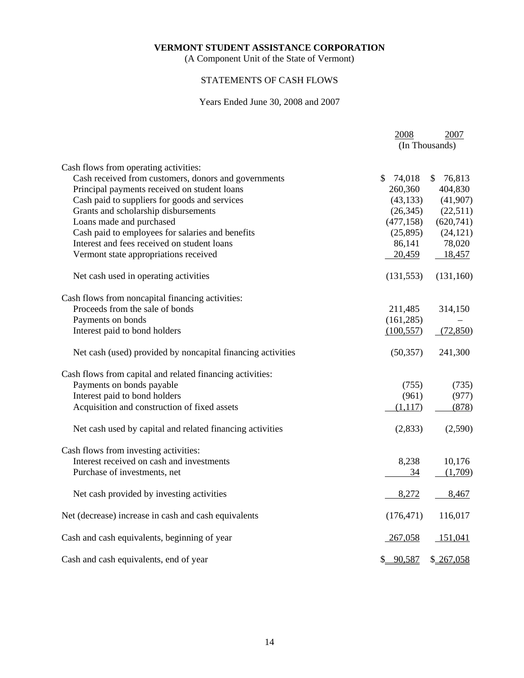(A Component Unit of the State of Vermont)

# STATEMENTS OF CASH FLOWS

# Years Ended June 30, 2008 and 2007

|                                                             | 2008           | 2007         |
|-------------------------------------------------------------|----------------|--------------|
|                                                             | (In Thousands) |              |
| Cash flows from operating activities:                       |                |              |
| Cash received from customers, donors and governments        | 74,018<br>\$   | 76,813<br>\$ |
| Principal payments received on student loans                | 260,360        | 404,830      |
| Cash paid to suppliers for goods and services               | (43, 133)      | (41,907)     |
| Grants and scholarship disbursements                        | (26, 345)      | (22,511)     |
| Loans made and purchased                                    | (477, 158)     | (620,741)    |
| Cash paid to employees for salaries and benefits            | (25,895)       | (24, 121)    |
| Interest and fees received on student loans                 | 86,141         | 78,020       |
| Vermont state appropriations received                       | 20,459         | 18,457       |
| Net cash used in operating activities                       | (131, 553)     | (131,160)    |
| Cash flows from noncapital financing activities:            |                |              |
| Proceeds from the sale of bonds                             | 211,485        | 314,150      |
| Payments on bonds                                           | (161, 285)     |              |
| Interest paid to bond holders                               | (100, 557)     | (72,850)     |
| Net cash (used) provided by noncapital financing activities | (50, 357)      | 241,300      |
| Cash flows from capital and related financing activities:   |                |              |
| Payments on bonds payable                                   | (755)          | (735)        |
| Interest paid to bond holders                               | (961)          | (977)        |
| Acquisition and construction of fixed assets                | (1,117)        | (878)        |
| Net cash used by capital and related financing activities   | (2,833)        | (2,590)      |
| Cash flows from investing activities:                       |                |              |
| Interest received on cash and investments                   | 8,238          | 10,176       |
| Purchase of investments, net                                | 34             | (1,709)      |
| Net cash provided by investing activities                   | 8,272          | 8,467        |
| Net (decrease) increase in cash and cash equivalents        | (176, 471)     | 116,017      |
| Cash and cash equivalents, beginning of year                | 267,058        | 151,041      |
| Cash and cash equivalents, end of year                      | \$90,587       | \$267,058    |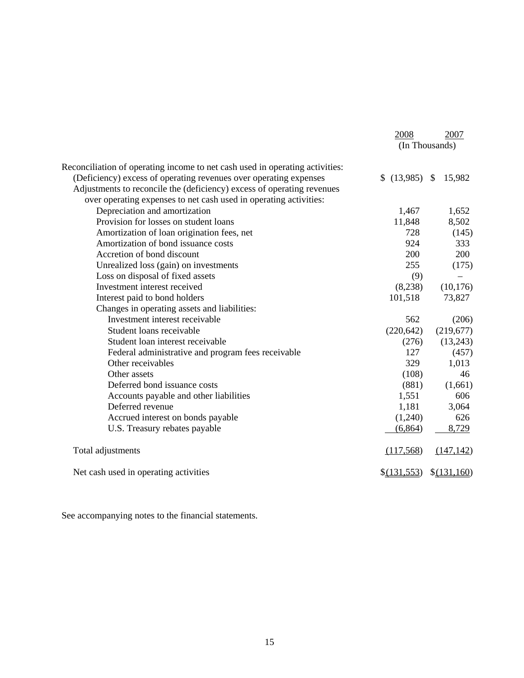|                                                                              | 2008               | 2007           |
|------------------------------------------------------------------------------|--------------------|----------------|
|                                                                              |                    | (In Thousands) |
| Reconciliation of operating income to net cash used in operating activities: |                    |                |
| (Deficiency) excess of operating revenues over operating expenses            | $$$ (13,985) \, \, | 15,982         |
| Adjustments to reconcile the (deficiency) excess of operating revenues       |                    |                |
| over operating expenses to net cash used in operating activities:            |                    |                |
| Depreciation and amortization                                                | 1,467              | 1,652          |
| Provision for losses on student loans                                        | 11,848             | 8,502          |
| Amortization of loan origination fees, net                                   | 728                | (145)          |
| Amortization of bond issuance costs                                          | 924                | 333            |
| Accretion of bond discount                                                   | 200                | 200            |
| Unrealized loss (gain) on investments                                        | 255                | (175)          |
| Loss on disposal of fixed assets                                             | (9)                |                |
| Investment interest received                                                 | (8,238)            | (10, 176)      |
| Interest paid to bond holders                                                | 101,518            | 73,827         |
| Changes in operating assets and liabilities:                                 |                    |                |
| Investment interest receivable                                               | 562                | (206)          |
| Student loans receivable                                                     | (220, 642)         | (219,677)      |
| Student loan interest receivable                                             | (276)              | (13,243)       |
| Federal administrative and program fees receivable                           | 127                | (457)          |
| Other receivables                                                            | 329                | 1,013          |
| Other assets                                                                 | (108)              | 46             |
| Deferred bond issuance costs                                                 | (881)              | (1,661)        |
| Accounts payable and other liabilities                                       | 1,551              | 606            |
| Deferred revenue                                                             | 1,181              | 3,064          |
| Accrued interest on bonds payable                                            | (1,240)            | 626            |
| U.S. Treasury rebates payable                                                | (6, 864)           | 8,729          |
| Total adjustments                                                            | (117,568)          | (147, 142)     |
| Net cash used in operating activities                                        | \$(131,553)        | \$(131,160)    |

See accompanying notes to the financial statements.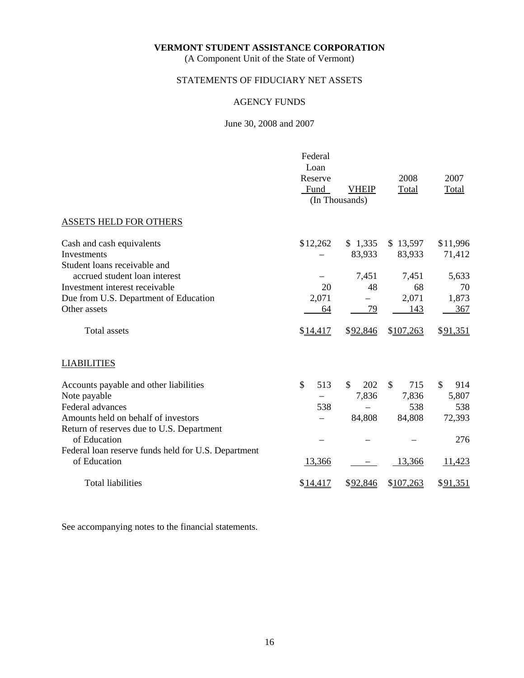(A Component Unit of the State of Vermont)

# STATEMENTS OF FIDUCIARY NET ASSETS

# AGENCY FUNDS

# June 30, 2008 and 2007

|                                                                     | Federal<br>Loan<br>Reserve<br>Fund | <b>VHEIP</b><br>(In Thousands) | 2008<br>Total      | 2007<br>Total       |
|---------------------------------------------------------------------|------------------------------------|--------------------------------|--------------------|---------------------|
| ASSETS HELD FOR OTHERS                                              |                                    |                                |                    |                     |
| Cash and cash equivalents<br>Investments                            | \$12,262                           | \$1,335<br>83,933              | \$13,597<br>83,933 | \$11,996<br>71,412  |
| Student loans receivable and<br>accrued student loan interest       |                                    | 7,451                          | 7,451              | 5,633               |
| Investment interest receivable                                      | 20                                 | 48                             | 68                 | 70                  |
| Due from U.S. Department of Education                               | 2,071                              |                                | 2,071              | 1,873               |
| Other assets                                                        | 64                                 | 79                             | 143                | 367                 |
| <b>Total assets</b>                                                 | \$14,417                           | \$92,846                       | \$107,263          | \$91,351            |
| <b>LIABILITIES</b>                                                  |                                    |                                |                    |                     |
| Accounts payable and other liabilities                              | \$<br>513                          | \$<br>202                      | \$<br>715          | $\mathbb{S}$<br>914 |
| Note payable                                                        |                                    | 7,836                          | 7,836              | 5,807               |
| Federal advances                                                    | 538                                |                                | 538                | 538                 |
| Amounts held on behalf of investors                                 |                                    | 84,808                         | 84,808             | 72,393              |
| Return of reserves due to U.S. Department<br>of Education           |                                    |                                |                    | 276                 |
| Federal loan reserve funds held for U.S. Department<br>of Education | 13,366                             |                                | 13,366             | 11,423              |
| <b>Total liabilities</b>                                            | \$14,417                           | \$92,846                       | \$107,263          | \$91,351            |

See accompanying notes to the financial statements.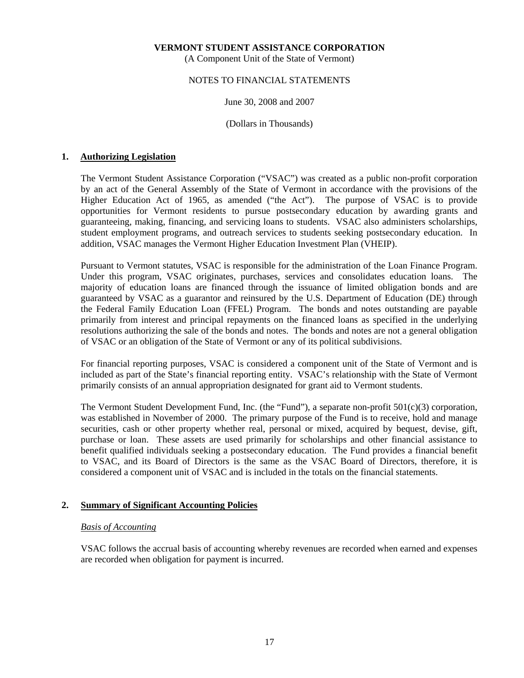(A Component Unit of the State of Vermont)

# NOTES TO FINANCIAL STATEMENTS

## June 30, 2008 and 2007

(Dollars in Thousands)

# **1. Authorizing Legislation**

 The Vermont Student Assistance Corporation ("VSAC") was created as a public non-profit corporation by an act of the General Assembly of the State of Vermont in accordance with the provisions of the Higher Education Act of 1965, as amended ("the Act"). The purpose of VSAC is to provide opportunities for Vermont residents to pursue postsecondary education by awarding grants and guaranteeing, making, financing, and servicing loans to students. VSAC also administers scholarships, student employment programs, and outreach services to students seeking postsecondary education. In addition, VSAC manages the Vermont Higher Education Investment Plan (VHEIP).

 Pursuant to Vermont statutes, VSAC is responsible for the administration of the Loan Finance Program. Under this program, VSAC originates, purchases, services and consolidates education loans. The majority of education loans are financed through the issuance of limited obligation bonds and are guaranteed by VSAC as a guarantor and reinsured by the U.S. Department of Education (DE) through the Federal Family Education Loan (FFEL) Program. The bonds and notes outstanding are payable primarily from interest and principal repayments on the financed loans as specified in the underlying resolutions authorizing the sale of the bonds and notes. The bonds and notes are not a general obligation of VSAC or an obligation of the State of Vermont or any of its political subdivisions.

 For financial reporting purposes, VSAC is considered a component unit of the State of Vermont and is included as part of the State's financial reporting entity. VSAC's relationship with the State of Vermont primarily consists of an annual appropriation designated for grant aid to Vermont students.

 The Vermont Student Development Fund, Inc. (the "Fund"), a separate non-profit 501(c)(3) corporation, was established in November of 2000. The primary purpose of the Fund is to receive, hold and manage securities, cash or other property whether real, personal or mixed, acquired by bequest, devise, gift, purchase or loan. These assets are used primarily for scholarships and other financial assistance to benefit qualified individuals seeking a postsecondary education. The Fund provides a financial benefit to VSAC, and its Board of Directors is the same as the VSAC Board of Directors, therefore, it is considered a component unit of VSAC and is included in the totals on the financial statements.

# **2. Summary of Significant Accounting Policies**

# *Basis of Accounting*

 VSAC follows the accrual basis of accounting whereby revenues are recorded when earned and expenses are recorded when obligation for payment is incurred.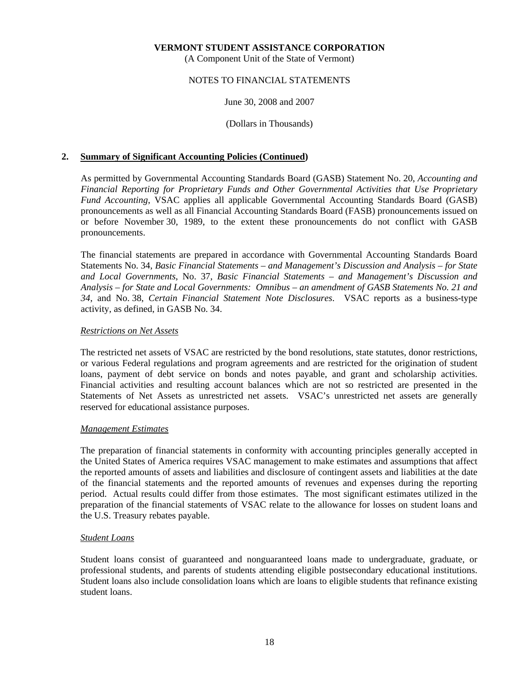(A Component Unit of the State of Vermont)

# NOTES TO FINANCIAL STATEMENTS

# June 30, 2008 and 2007

(Dollars in Thousands)

# **2. Summary of Significant Accounting Policies (Continued)**

 As permitted by Governmental Accounting Standards Board (GASB) Statement No. 20, *Accounting and Financial Reporting for Proprietary Funds and Other Governmental Activities that Use Proprietary Fund Accounting*, VSAC applies all applicable Governmental Accounting Standards Board (GASB) pronouncements as well as all Financial Accounting Standards Board (FASB) pronouncements issued on or before November 30, 1989, to the extent these pronouncements do not conflict with GASB pronouncements.

 The financial statements are prepared in accordance with Governmental Accounting Standards Board Statements No. 34, *Basic Financial Statements – and Management's Discussion and Analysis – for State and Local Governments*, No. 37, *Basic Financial Statements – and Management's Discussion and Analysis – for State and Local Governments: Omnibus – an amendment of GASB Statements No. 21 and 34*, and No. 38, *Certain Financial Statement Note Disclosures*. VSAC reports as a business-type activity, as defined, in GASB No. 34.

## *Restrictions on Net Assets*

 The restricted net assets of VSAC are restricted by the bond resolutions, state statutes, donor restrictions, or various Federal regulations and program agreements and are restricted for the origination of student loans, payment of debt service on bonds and notes payable, and grant and scholarship activities. Financial activities and resulting account balances which are not so restricted are presented in the Statements of Net Assets as unrestricted net assets. VSAC's unrestricted net assets are generally reserved for educational assistance purposes.

## *Management Estimates*

 The preparation of financial statements in conformity with accounting principles generally accepted in the United States of America requires VSAC management to make estimates and assumptions that affect the reported amounts of assets and liabilities and disclosure of contingent assets and liabilities at the date of the financial statements and the reported amounts of revenues and expenses during the reporting period. Actual results could differ from those estimates. The most significant estimates utilized in the preparation of the financial statements of VSAC relate to the allowance for losses on student loans and the U.S. Treasury rebates payable.

# *Student Loans*

 Student loans consist of guaranteed and nonguaranteed loans made to undergraduate, graduate, or professional students, and parents of students attending eligible postsecondary educational institutions. Student loans also include consolidation loans which are loans to eligible students that refinance existing student loans.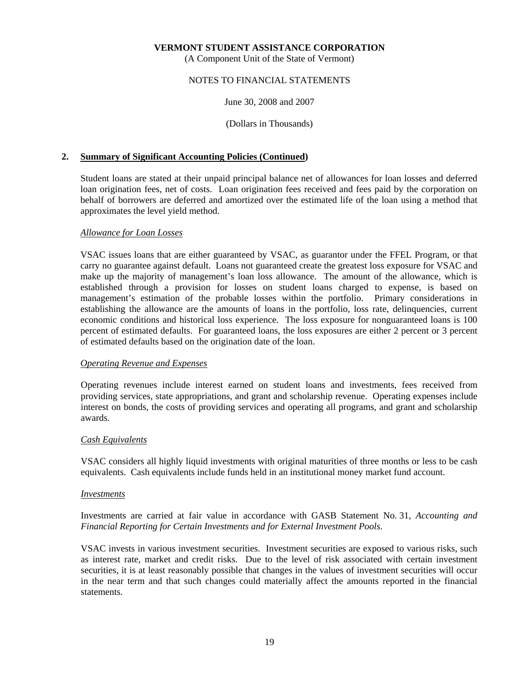(A Component Unit of the State of Vermont)

# NOTES TO FINANCIAL STATEMENTS

# June 30, 2008 and 2007

(Dollars in Thousands)

# **2. Summary of Significant Accounting Policies (Continued)**

 Student loans are stated at their unpaid principal balance net of allowances for loan losses and deferred loan origination fees, net of costs. Loan origination fees received and fees paid by the corporation on behalf of borrowers are deferred and amortized over the estimated life of the loan using a method that approximates the level yield method.

# *Allowance for Loan Losses*

 VSAC issues loans that are either guaranteed by VSAC, as guarantor under the FFEL Program, or that carry no guarantee against default. Loans not guaranteed create the greatest loss exposure for VSAC and make up the majority of management's loan loss allowance. The amount of the allowance, which is established through a provision for losses on student loans charged to expense, is based on management's estimation of the probable losses within the portfolio. Primary considerations in establishing the allowance are the amounts of loans in the portfolio, loss rate, delinquencies, current economic conditions and historical loss experience. The loss exposure for nonguaranteed loans is 100 percent of estimated defaults. For guaranteed loans, the loss exposures are either 2 percent or 3 percent of estimated defaults based on the origination date of the loan.

## *Operating Revenue and Expenses*

 Operating revenues include interest earned on student loans and investments, fees received from providing services, state appropriations, and grant and scholarship revenue. Operating expenses include interest on bonds, the costs of providing services and operating all programs, and grant and scholarship awards.

## *Cash Equivalents*

 VSAC considers all highly liquid investments with original maturities of three months or less to be cash equivalents. Cash equivalents include funds held in an institutional money market fund account.

## *Investments*

 Investments are carried at fair value in accordance with GASB Statement No. 31, *Accounting and Financial Reporting for Certain Investments and for External Investment Pools*.

 VSAC invests in various investment securities. Investment securities are exposed to various risks, such as interest rate, market and credit risks. Due to the level of risk associated with certain investment securities, it is at least reasonably possible that changes in the values of investment securities will occur in the near term and that such changes could materially affect the amounts reported in the financial statements.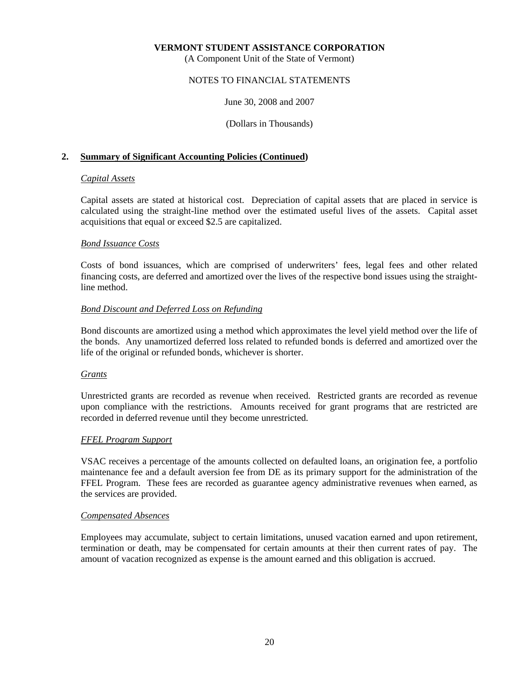(A Component Unit of the State of Vermont)

# NOTES TO FINANCIAL STATEMENTS

June 30, 2008 and 2007

(Dollars in Thousands)

# **2. Summary of Significant Accounting Policies (Continued)**

# *Capital Assets*

 Capital assets are stated at historical cost. Depreciation of capital assets that are placed in service is calculated using the straight-line method over the estimated useful lives of the assets. Capital asset acquisitions that equal or exceed \$2.5 are capitalized.

# *Bond Issuance Costs*

 Costs of bond issuances, which are comprised of underwriters' fees, legal fees and other related financing costs, are deferred and amortized over the lives of the respective bond issues using the straightline method.

# *Bond Discount and Deferred Loss on Refunding*

 Bond discounts are amortized using a method which approximates the level yield method over the life of the bonds. Any unamortized deferred loss related to refunded bonds is deferred and amortized over the life of the original or refunded bonds, whichever is shorter.

## *Grants*

 Unrestricted grants are recorded as revenue when received. Restricted grants are recorded as revenue upon compliance with the restrictions. Amounts received for grant programs that are restricted are recorded in deferred revenue until they become unrestricted.

# *FFEL Program Support*

 VSAC receives a percentage of the amounts collected on defaulted loans, an origination fee, a portfolio maintenance fee and a default aversion fee from DE as its primary support for the administration of the FFEL Program. These fees are recorded as guarantee agency administrative revenues when earned, as the services are provided.

## *Compensated Absences*

 Employees may accumulate, subject to certain limitations, unused vacation earned and upon retirement, termination or death, may be compensated for certain amounts at their then current rates of pay. The amount of vacation recognized as expense is the amount earned and this obligation is accrued.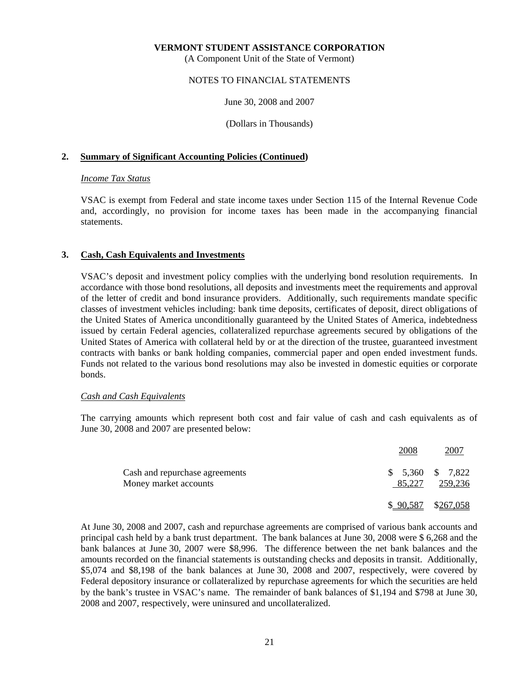(A Component Unit of the State of Vermont)

# NOTES TO FINANCIAL STATEMENTS

June 30, 2008 and 2007

(Dollars in Thousands)

# **2. Summary of Significant Accounting Policies (Continued)**

# *Income Tax Status*

 VSAC is exempt from Federal and state income taxes under Section 115 of the Internal Revenue Code and, accordingly, no provision for income taxes has been made in the accompanying financial statements.

# **3. Cash, Cash Equivalents and Investments**

 VSAC's deposit and investment policy complies with the underlying bond resolution requirements. In accordance with those bond resolutions, all deposits and investments meet the requirements and approval of the letter of credit and bond insurance providers. Additionally, such requirements mandate specific classes of investment vehicles including: bank time deposits, certificates of deposit, direct obligations of the United States of America unconditionally guaranteed by the United States of America, indebtedness issued by certain Federal agencies, collateralized repurchase agreements secured by obligations of the United States of America with collateral held by or at the direction of the trustee, guaranteed investment contracts with banks or bank holding companies, commercial paper and open ended investment funds. Funds not related to the various bond resolutions may also be invested in domestic equities or corporate bonds.

## *Cash and Cash Equivalents*

 The carrying amounts which represent both cost and fair value of cash and cash equivalents as of June 30, 2008 and 2007 are presented below:

|                                                         | 2008                        | 2007    |
|---------------------------------------------------------|-----------------------------|---------|
| Cash and repurchase agreements<br>Money market accounts | $$5,360$ $$7,822$<br>85,227 | 259,236 |
|                                                         | $$90,587$ $$267,058$        |         |

 At June 30, 2008 and 2007, cash and repurchase agreements are comprised of various bank accounts and principal cash held by a bank trust department. The bank balances at June 30, 2008 were \$ 6,268 and the bank balances at June 30, 2007 were \$8,996. The difference between the net bank balances and the amounts recorded on the financial statements is outstanding checks and deposits in transit. Additionally, \$5,074 and \$8,198 of the bank balances at June 30, 2008 and 2007, respectively, were covered by Federal depository insurance or collateralized by repurchase agreements for which the securities are held by the bank's trustee in VSAC's name. The remainder of bank balances of \$1,194 and \$798 at June 30, 2008 and 2007, respectively, were uninsured and uncollateralized.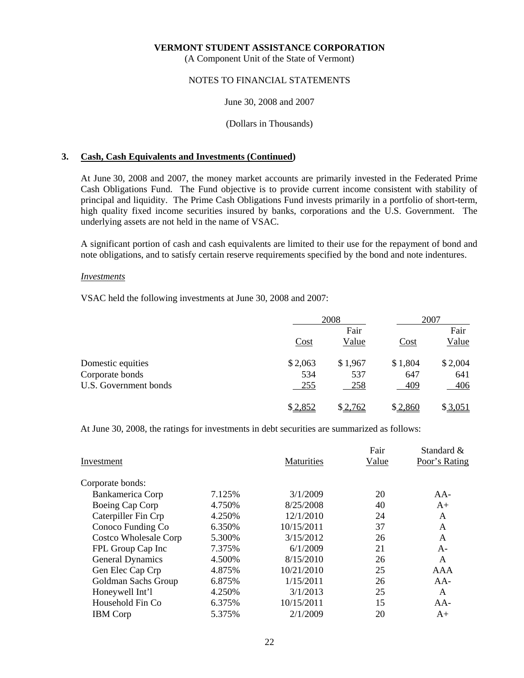(A Component Unit of the State of Vermont)

# NOTES TO FINANCIAL STATEMENTS

## June 30, 2008 and 2007

# (Dollars in Thousands)

# **3. Cash, Cash Equivalents and Investments (Continued)**

 At June 30, 2008 and 2007, the money market accounts are primarily invested in the Federated Prime Cash Obligations Fund. The Fund objective is to provide current income consistent with stability of principal and liquidity. The Prime Cash Obligations Fund invests primarily in a portfolio of short-term, high quality fixed income securities insured by banks, corporations and the U.S. Government. The underlying assets are not held in the name of VSAC.

 A significant portion of cash and cash equivalents are limited to their use for the repayment of bond and note obligations, and to satisfy certain reserve requirements specified by the bond and note indentures.

## *Investments*

VSAC held the following investments at June 30, 2008 and 2007:

|                       |            | 2008    |         | 2007    |
|-----------------------|------------|---------|---------|---------|
|                       |            | Fair    |         | Fair    |
|                       | Cost       | Value   | Cost    | Value   |
| Domestic equities     | \$2,063    | \$1,967 | \$1,804 | \$2,004 |
| Corporate bonds       | 534        | 537     | 647     | 641     |
| U.S. Government bonds | <u>255</u> | 258     | 409     | 406     |
|                       | \$2,852    | \$2,762 | \$2,860 | \$3,051 |

At June 30, 2008, the ratings for investments in debt securities are summarized as follows:

| Investment                   |         | <b>Maturities</b> | Fair<br>Value | Standard &<br>Poor's Rating |
|------------------------------|---------|-------------------|---------------|-----------------------------|
| Corporate bonds:             |         |                   |               |                             |
| Bankamerica Corp             | 7.125%  | 3/1/2009          | 20            | $AA-$                       |
| Boeing Cap Corp              | 4.750%  | 8/25/2008         | 40            | $A+$                        |
| Caterpiller Fin Crp          | 4.250%  | 12/1/2010         | 24            | A                           |
| Conoco Funding Co            | 6.350%  | 10/15/2011        | 37            | A                           |
| <b>Costco Wholesale Corp</b> | 5.300\% | 3/15/2012         | 26            | A                           |
| FPL Group Cap Inc            | 7.375%  | 6/1/2009          | 21            | $A-$                        |
| <b>General Dynamics</b>      | 4.500%  | 8/15/2010         | 26            | A                           |
| Gen Elec Cap Crp             | 4.875%  | 10/21/2010        | 25            | AAA                         |
| Goldman Sachs Group          | 6.875%  | 1/15/2011         | 26            | $AA-$                       |
| Honeywell Int'l              | 4.250%  | 3/1/2013          | 25            | A                           |
| Household Fin Co             | 6.375%  | 10/15/2011        | 15            | $AA-$                       |
| <b>IBM</b> Corp              | 5.375%  | 2/1/2009          | 20            | $A+$                        |
|                              |         |                   |               |                             |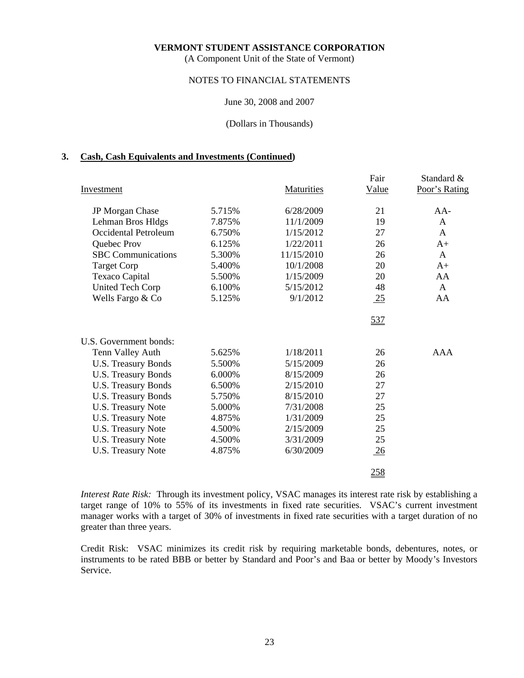(A Component Unit of the State of Vermont)

# NOTES TO FINANCIAL STATEMENTS

#### June 30, 2008 and 2007

#### (Dollars in Thousands)

#### **3. Cash, Cash Equivalents and Investments (Continued)**

|                            |        |                   | Fair             | Standard &    |
|----------------------------|--------|-------------------|------------------|---------------|
| Investment                 |        | <b>Maturities</b> | Value            | Poor's Rating |
| JP Morgan Chase            | 5.715% | 6/28/2009         | 21               | $AA-$         |
| Lehman Bros Hldgs          | 7.875% | 11/1/2009         | 19               | A             |
| Occidental Petroleum       | 6.750% | 1/15/2012         | 27               | $\mathsf{A}$  |
| Quebec Prov                | 6.125% | 1/22/2011         | 26               | $A+$          |
| <b>SBC</b> Communications  | 5.300% | 11/15/2010        | 26               | A             |
| <b>Target Corp</b>         | 5.400% | 10/1/2008         | 20               | $A+$          |
| Texaco Capital             | 5.500% | 1/15/2009         | 20               | AA            |
| <b>United Tech Corp</b>    | 6.100% | 5/15/2012         | 48               | A             |
| Wells Fargo & Co           | 5.125% | 9/1/2012          | $\underline{25}$ | AA            |
|                            |        |                   | 537              |               |
| U.S. Government bonds:     |        |                   |                  |               |
| Tenn Valley Auth           | 5.625% | 1/18/2011         | 26               | AAA           |
| <b>U.S. Treasury Bonds</b> | 5.500% | 5/15/2009         | 26               |               |
| <b>U.S. Treasury Bonds</b> | 6.000% | 8/15/2009         | 26               |               |
| <b>U.S. Treasury Bonds</b> | 6.500% | 2/15/2010         | 27               |               |
| <b>U.S. Treasury Bonds</b> | 5.750% | 8/15/2010         | 27               |               |
| <b>U.S. Treasury Note</b>  | 5.000% | 7/31/2008         | 25               |               |
| <b>U.S. Treasury Note</b>  | 4.875% | 1/31/2009         | 25               |               |
| <b>U.S. Treasury Note</b>  | 4.500% | 2/15/2009         | 25               |               |
| U.S. Treasury Note         | 4.500% | 3/31/2009         | 25               |               |
| <b>U.S. Treasury Note</b>  | 4.875% | 6/30/2009         | $\frac{26}{5}$   |               |
|                            |        |                   | 258              |               |

*Interest Rate Risk:* Through its investment policy, VSAC manages its interest rate risk by establishing a target range of 10% to 55% of its investments in fixed rate securities. VSAC's current investment manager works with a target of 30% of investments in fixed rate securities with a target duration of no greater than three years.

 Credit Risk: VSAC minimizes its credit risk by requiring marketable bonds, debentures, notes, or instruments to be rated BBB or better by Standard and Poor's and Baa or better by Moody's Investors Service.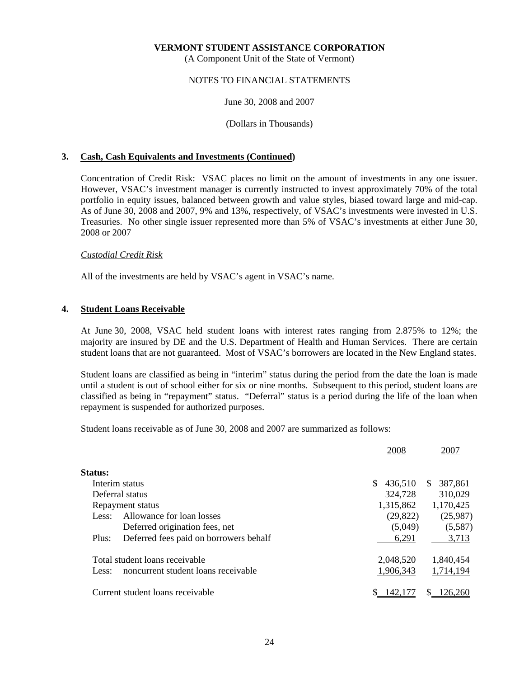(A Component Unit of the State of Vermont)

# NOTES TO FINANCIAL STATEMENTS

## June 30, 2008 and 2007

(Dollars in Thousands)

# **3. Cash, Cash Equivalents and Investments (Continued)**

 Concentration of Credit Risk: VSAC places no limit on the amount of investments in any one issuer. However, VSAC's investment manager is currently instructed to invest approximately 70% of the total portfolio in equity issues, balanced between growth and value styles, biased toward large and mid-cap. As of June 30, 2008 and 2007, 9% and 13%, respectively, of VSAC's investments were invested in U.S. Treasuries. No other single issuer represented more than 5% of VSAC's investments at either June 30, 2008 or 2007

# *Custodial Credit Risk*

All of the investments are held by VSAC's agent in VSAC's name.

# **4. Student Loans Receivable**

 At June 30, 2008, VSAC held student loans with interest rates ranging from 2.875% to 12%; the majority are insured by DE and the U.S. Department of Health and Human Services. There are certain student loans that are not guaranteed. Most of VSAC's borrowers are located in the New England states.

 Student loans are classified as being in "interim" status during the period from the date the loan is made until a student is out of school either for six or nine months. Subsequent to this period, student loans are classified as being in "repayment" status. "Deferral" status is a period during the life of the loan when repayment is suspended for authorized purposes.

Student loans receivable as of June 30, 2008 and 2007 are summarized as follows:

|         |                                        | 2008          | 2007           |
|---------|----------------------------------------|---------------|----------------|
| Status: |                                        |               |                |
|         | Interim status                         | S.<br>436,510 | 387,861<br>\$. |
|         | Deferral status                        | 324,728       | 310,029        |
|         | Repayment status                       | 1,315,862     | 1,170,425      |
| Less:   | Allowance for loan losses              | (29, 822)     | (25,987)       |
|         | Deferred origination fees, net         | (5,049)       | (5,587)        |
| Plus:   | Deferred fees paid on borrowers behalf | 6,291         | 3,713          |
|         | Total student loans receivable         | 2,048,520     | 1,840,454      |
| Less:   | noncurrent student loans receivable    | 1,906,343     | 1,714,194      |
|         | Current student loans receivable       | 42.           |                |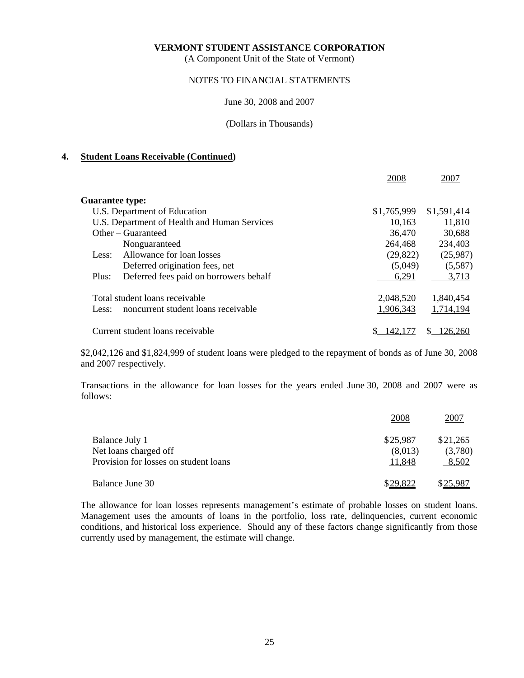(A Component Unit of the State of Vermont)

# NOTES TO FINANCIAL STATEMENTS

#### June 30, 2008 and 2007

#### (Dollars in Thousands)

## **4. Student Loans Receivable (Continued)**

|                        |                                              | 2008        | 2007        |
|------------------------|----------------------------------------------|-------------|-------------|
| <b>Guarantee type:</b> |                                              |             |             |
|                        | U.S. Department of Education                 | \$1,765,999 | \$1,591,414 |
|                        | U.S. Department of Health and Human Services | 10,163      | 11,810      |
|                        | Other – Guaranteed                           | 36,470      | 30,688      |
|                        | Nonguaranteed                                | 264,468     | 234,403     |
| Less:                  | Allowance for loan losses                    | (29, 822)   | (25,987)    |
|                        | Deferred origination fees, net               | (5,049)     | (5,587)     |
| Plus:                  | Deferred fees paid on borrowers behalf       | 6,291       | 3,713       |
|                        | Total student loans receivable               | 2,048,520   | 1,840,454   |
| Less:                  | noncurrent student loans receivable          | 1,906,343   | 1,714,194   |
|                        | Current student loans receivable             | 142.177     | 126.260     |

 \$2,042,126 and \$1,824,999 of student loans were pledged to the repayment of bonds as of June 30, 2008 and 2007 respectively.

 Transactions in the allowance for loan losses for the years ended June 30, 2008 and 2007 were as follows:

|                                       | 2008     | 2007     |
|---------------------------------------|----------|----------|
| Balance July 1                        | \$25,987 | \$21,265 |
| Net loans charged off                 | (8,013)  | (3,780)  |
| Provision for losses on student loans | 11,848   | 8,502    |
| Balance June 30                       | \$29,822 | \$25,987 |

 The allowance for loan losses represents management's estimate of probable losses on student loans. Management uses the amounts of loans in the portfolio, loss rate, delinquencies, current economic conditions, and historical loss experience. Should any of these factors change significantly from those currently used by management, the estimate will change.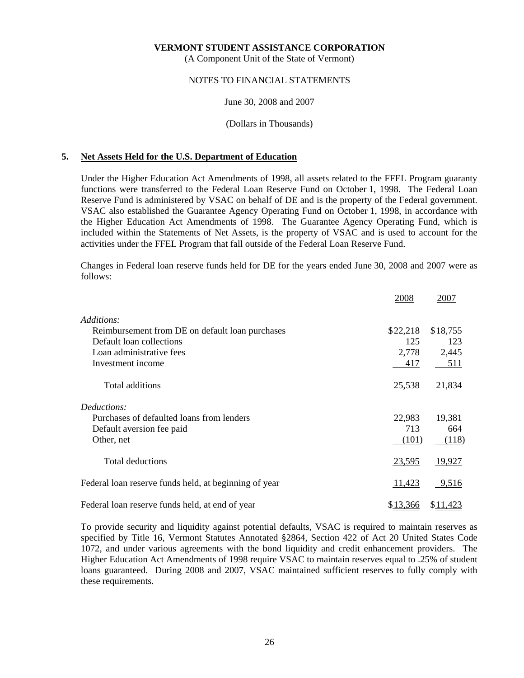(A Component Unit of the State of Vermont)

# NOTES TO FINANCIAL STATEMENTS

## June 30, 2008 and 2007

(Dollars in Thousands)

# **5. Net Assets Held for the U.S. Department of Education**

 Under the Higher Education Act Amendments of 1998, all assets related to the FFEL Program guaranty functions were transferred to the Federal Loan Reserve Fund on October 1, 1998. The Federal Loan Reserve Fund is administered by VSAC on behalf of DE and is the property of the Federal government. VSAC also established the Guarantee Agency Operating Fund on October 1, 1998, in accordance with the Higher Education Act Amendments of 1998. The Guarantee Agency Operating Fund, which is included within the Statements of Net Assets, is the property of VSAC and is used to account for the activities under the FFEL Program that fall outside of the Federal Loan Reserve Fund.

 Changes in Federal loan reserve funds held for DE for the years ended June 30, 2008 and 2007 were as follows:

|                                                       | 2008     | 2007     |
|-------------------------------------------------------|----------|----------|
| Additions:                                            |          |          |
| Reimbursement from DE on default loan purchases       | \$22,218 | \$18,755 |
| Default loan collections                              | 125      | 123      |
| Loan administrative fees                              | 2,778    | 2,445    |
| Investment income                                     | 417      | 511      |
| Total additions                                       | 25,538   | 21,834   |
| Deductions:                                           |          |          |
| Purchases of defaulted loans from lenders             | 22,983   | 19,381   |
| Default aversion fee paid                             | 713      | 664      |
| Other, net                                            | (101)    | (118)    |
| <b>Total deductions</b>                               | 23,595   | 19,927   |
| Federal loan reserve funds held, at beginning of year | 11,423   | 9,516    |
| Federal loan reserve funds held, at end of year       | \$13,366 | \$11,423 |

 To provide security and liquidity against potential defaults, VSAC is required to maintain reserves as specified by Title 16, Vermont Statutes Annotated §2864, Section 422 of Act 20 United States Code 1072, and under various agreements with the bond liquidity and credit enhancement providers. The Higher Education Act Amendments of 1998 require VSAC to maintain reserves equal to .25% of student loans guaranteed. During 2008 and 2007, VSAC maintained sufficient reserves to fully comply with these requirements.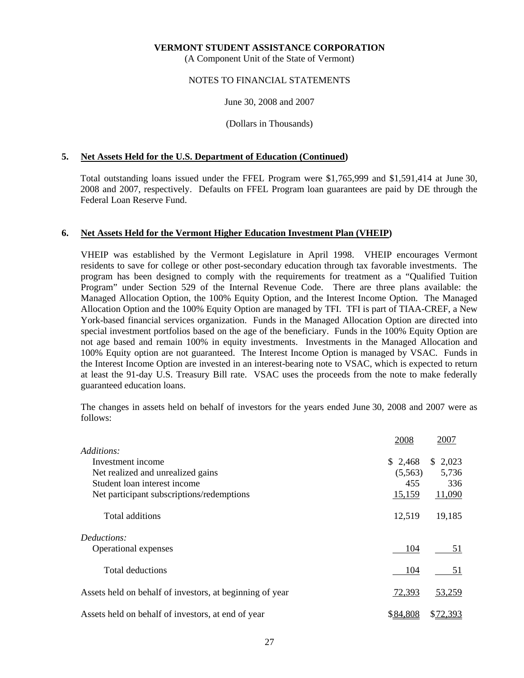(A Component Unit of the State of Vermont)

# NOTES TO FINANCIAL STATEMENTS

June 30, 2008 and 2007

(Dollars in Thousands)

# **5. Net Assets Held for the U.S. Department of Education (Continued)**

 Total outstanding loans issued under the FFEL Program were \$1,765,999 and \$1,591,414 at June 30, 2008 and 2007, respectively. Defaults on FFEL Program loan guarantees are paid by DE through the Federal Loan Reserve Fund.

# **6. Net Assets Held for the Vermont Higher Education Investment Plan (VHEIP)**

 VHEIP was established by the Vermont Legislature in April 1998. VHEIP encourages Vermont residents to save for college or other post-secondary education through tax favorable investments. The program has been designed to comply with the requirements for treatment as a "Qualified Tuition Program" under Section 529 of the Internal Revenue Code. There are three plans available: the Managed Allocation Option, the 100% Equity Option, and the Interest Income Option. The Managed Allocation Option and the 100% Equity Option are managed by TFI. TFI is part of TIAA-CREF, a New York-based financial services organization. Funds in the Managed Allocation Option are directed into special investment portfolios based on the age of the beneficiary. Funds in the 100% Equity Option are not age based and remain 100% in equity investments. Investments in the Managed Allocation and 100% Equity option are not guaranteed. The Interest Income Option is managed by VSAC. Funds in the Interest Income Option are invested in an interest-bearing note to VSAC, which is expected to return at least the 91-day U.S. Treasury Bill rate. VSAC uses the proceeds from the note to make federally guaranteed education loans.

 The changes in assets held on behalf of investors for the years ended June 30, 2008 and 2007 were as follows:

|                                                          | 2008     | 2007        |
|----------------------------------------------------------|----------|-------------|
| Additions:                                               |          |             |
| Investment income                                        | \$2,468  | 2,023<br>S. |
| Net realized and unrealized gains                        | (5,563)  | 5,736       |
| Student loan interest income                             | 455      | 336         |
| Net participant subscriptions/redemptions                | 15,159   | 11,090      |
| Total additions                                          | 12,519   | 19,185      |
| Deductions:                                              |          |             |
| Operational expenses                                     | 104      | 51          |
| <b>Total deductions</b>                                  | 104      | 51          |
| Assets held on behalf of investors, at beginning of year | 72,393   | 53,259      |
| Assets held on behalf of investors, at end of year       | \$84,808 | \$72,393    |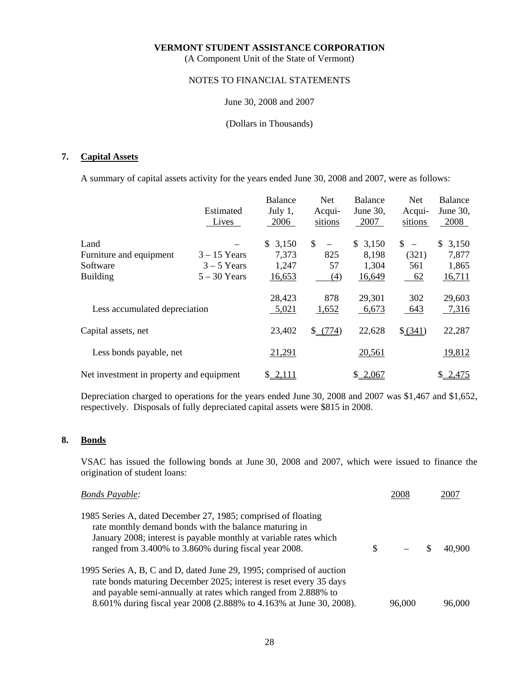(A Component Unit of the State of Vermont)

# NOTES TO FINANCIAL STATEMENTS

# June 30, 2008 and 2007

# (Dollars in Thousands)

# **7. Capital Assets**

A summary of capital assets activity for the years ended June 30, 2008 and 2007, were as follows:

|                                          |                | <b>Balance</b> | Net.                                     | <b>Balance</b> | <b>Net</b> | <b>Balance</b> |
|------------------------------------------|----------------|----------------|------------------------------------------|----------------|------------|----------------|
|                                          | Estimated      | July $1$ ,     | Acqui-                                   | June 30,       | Acqui-     | June 30,       |
|                                          | Lives          | 2006           | sitions                                  | 2007           | sitions    | 2008           |
| Land                                     |                | \$3,150        | $\mathbb{S}$<br>$\overline{\phantom{m}}$ | 3,150<br>\$    | $S -$      | 3,150<br>\$    |
| Furniture and equipment                  | $3 - 15$ Years | 7,373          | 825                                      | 8,198          | (321)      | 7,877          |
| Software                                 | $3 - 5$ Years  | 1,247          | 57                                       | 1,304          | 561        | 1,865          |
| <b>Building</b>                          | $5 - 30$ Years | 16,653         | (4)                                      | 16,649         | $-62$      | <u>16,711</u>  |
|                                          |                | 28,423         | 878                                      | 29,301         | 302        | 29,603         |
| Less accumulated depreciation            |                | 5,021          | 1,652                                    | 6,673          | 643        | 7,316          |
| Capital assets, net                      |                | 23,402         | $$-(774)$                                | 22,628         | \$ (341)   | 22,287         |
| Less bonds payable, net                  |                | 21,291         |                                          | 20,561         |            | 19,812         |
| Net investment in property and equipment |                | \$2,111        |                                          | \$2,067        |            | \$2,475        |

 Depreciation charged to operations for the years ended June 30, 2008 and 2007 was \$1,467 and \$1,652, respectively. Disposals of fully depreciated capital assets were \$815 in 2008.

# **8. Bonds**

 VSAC has issued the following bonds at June 30, 2008 and 2007, which were issued to finance the origination of student loans:

| <b>Bonds Payable:</b>                                                                                                                                                                                                                                                               | 2008   | 2007   |
|-------------------------------------------------------------------------------------------------------------------------------------------------------------------------------------------------------------------------------------------------------------------------------------|--------|--------|
| 1985 Series A, dated December 27, 1985; comprised of floating<br>rate monthly demand bonds with the balance maturing in<br>January 2008; interest is payable monthly at variable rates which<br>ranged from 3.400% to 3.860% during fiscal year 2008.                               |        | 40.900 |
| 1995 Series A, B, C and D, dated June 29, 1995; comprised of auction<br>rate bonds maturing December 2025; interest is reset every 35 days<br>and payable semi-annually at rates which ranged from 2.888% to<br>8.601% during fiscal year 2008 (2.888% to 4.163% at June 30, 2008). | 96,000 | 96,000 |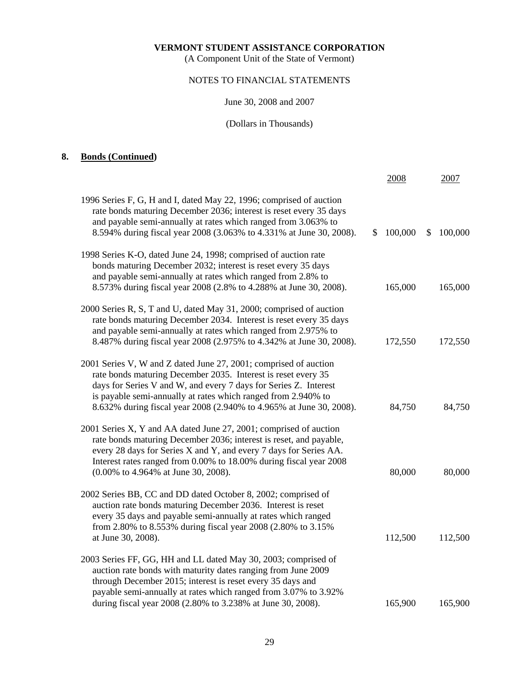(A Component Unit of the State of Vermont)

# NOTES TO FINANCIAL STATEMENTS

# June 30, 2008 and 2007

# (Dollars in Thousands)

# **8. Bonds (Continued)**

|                                                                                                                                                                                                                                                                                                                                               | 2008          | 2007          |
|-----------------------------------------------------------------------------------------------------------------------------------------------------------------------------------------------------------------------------------------------------------------------------------------------------------------------------------------------|---------------|---------------|
| 1996 Series F, G, H and I, dated May 22, 1996; comprised of auction<br>rate bonds maturing December 2036; interest is reset every 35 days<br>and payable semi-annually at rates which ranged from 3.063% to<br>8.594% during fiscal year 2008 (3.063% to 4.331% at June 30, 2008).                                                            | 100,000<br>S. | 100,000<br>\$ |
| 1998 Series K-O, dated June 24, 1998; comprised of auction rate<br>bonds maturing December 2032; interest is reset every 35 days<br>and payable semi-annually at rates which ranged from 2.8% to<br>8.573% during fiscal year 2008 (2.8% to 4.288% at June 30, 2008).                                                                         | 165,000       | 165,000       |
| 2000 Series R, S, T and U, dated May 31, 2000; comprised of auction<br>rate bonds maturing December 2034. Interest is reset every 35 days<br>and payable semi-annually at rates which ranged from 2.975% to<br>8.487% during fiscal year 2008 (2.975% to 4.342% at June 30, 2008).                                                            | 172,550       | 172,550       |
| 2001 Series V, W and Z dated June 27, 2001; comprised of auction<br>rate bonds maturing December 2035. Interest is reset every 35<br>days for Series V and W, and every 7 days for Series Z. Interest<br>is payable semi-annually at rates which ranged from 2.940% to<br>8.632% during fiscal year 2008 (2.940% to 4.965% at June 30, 2008). | 84,750        | 84,750        |
| 2001 Series X, Y and AA dated June 27, 2001; comprised of auction<br>rate bonds maturing December 2036; interest is reset, and payable,<br>every 28 days for Series X and Y, and every 7 days for Series AA.<br>Interest rates ranged from 0.00% to 18.00% during fiscal year 2008<br>(0.00% to 4.964% at June 30, 2008).                     | 80,000        | 80,000        |
| 2002 Series BB, CC and DD dated October 8, 2002; comprised of<br>auction rate bonds maturing December 2036. Interest is reset<br>every 35 days and payable semi-annually at rates which ranged<br>from 2.80% to 8.553% during fiscal year 2008 (2.80% to 3.15%<br>at June 30, 2008).                                                          | 112,500       | 112,500       |
| 2003 Series FF, GG, HH and LL dated May 30, 2003; comprised of<br>auction rate bonds with maturity dates ranging from June 2009<br>through December 2015; interest is reset every 35 days and<br>payable semi-annually at rates which ranged from 3.07% to 3.92%                                                                              |               |               |
| during fiscal year 2008 (2.80% to 3.238% at June 30, 2008).                                                                                                                                                                                                                                                                                   | 165,900       | 165,900       |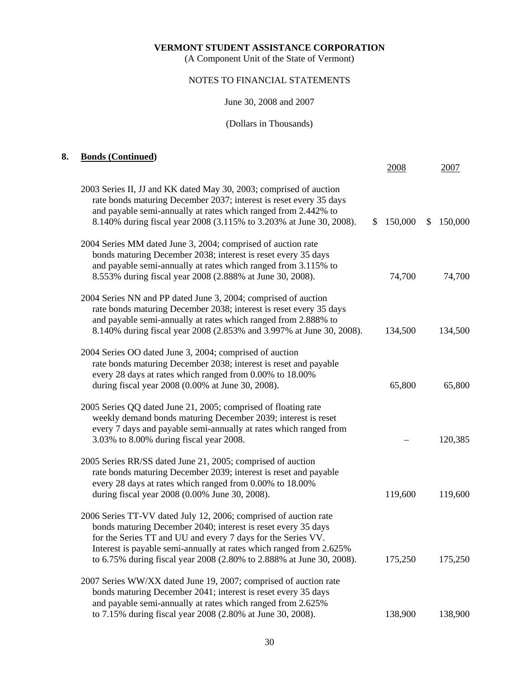(A Component Unit of the State of Vermont)

# NOTES TO FINANCIAL STATEMENTS

#### June 30, 2008 and 2007

#### (Dollars in Thousands)

# **8. Bonds (Continued)**  2008 2007 2003 Series II, JJ and KK dated May 30, 2003; comprised of auction rate bonds maturing December 2037; interest is reset every 35 days and payable semi-annually at rates which ranged from 2.442% to 8.140% during fiscal year 2008 (3.115% to 3.203% at June 30, 2008). \$ 150,000 \$ 150,000 2004 Series MM dated June 3, 2004; comprised of auction rate bonds maturing December 2038; interest is reset every 35 days and payable semi-annually at rates which ranged from 3.115% to 8.553% during fiscal year 2008 (2.888% at June 30, 2008). 74,700 74,700 2004 Series NN and PP dated June 3, 2004; comprised of auction rate bonds maturing December 2038; interest is reset every 35 days and payable semi-annually at rates which ranged from 2.888% to 8.140% during fiscal year 2008 (2.853% and 3.997% at June 30, 2008). 134,500 134,500 2004 Series OO dated June 3, 2004; comprised of auction rate bonds maturing December 2038; interest is reset and payable every 28 days at rates which ranged from 0.00% to 18.00% during fiscal year 2008 (0.00% at June 30, 2008). 65,800 65,800 65,800 2005 Series QQ dated June 21, 2005; comprised of floating rate weekly demand bonds maturing December 2039; interest is reset every 7 days and payable semi-annually at rates which ranged from 3.03% to 8.00% during fiscal year 2008. – 120,385 2005 Series RR/SS dated June 21, 2005; comprised of auction rate bonds maturing December 2039; interest is reset and payable every 28 days at rates which ranged from 0.00% to 18.00% during fiscal year 2008 (0.00% June 30, 2008). 119,600 119,600 119,600 2006 Series TT-VV dated July 12, 2006; comprised of auction rate bonds maturing December 2040; interest is reset every 35 days for the Series TT and UU and every 7 days for the Series VV. Interest is payable semi-annually at rates which ranged from 2.625% to 6.75% during fiscal year 2008 (2.80% to 2.888% at June 30, 2008). 175,250 175,250 2007 Series WW/XX dated June 19, 2007; comprised of auction rate bonds maturing December 2041; interest is reset every 35 days and payable semi-annually at rates which ranged from 2.625% to 7.15% during fiscal year 2008 (2.80% at June 30, 2008). 138,900 138,900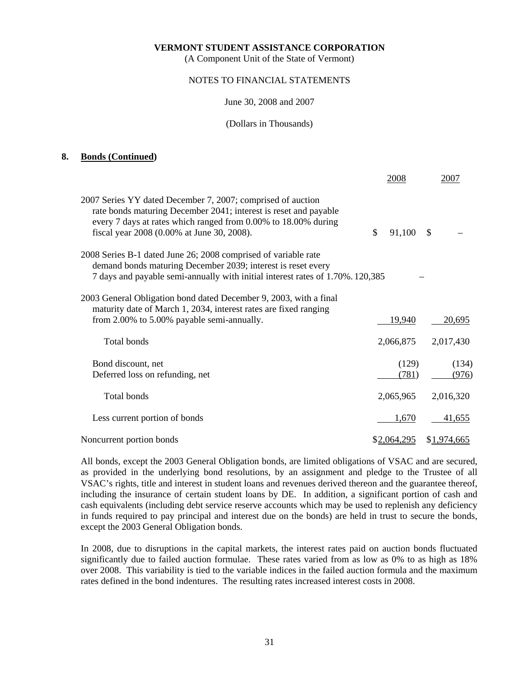(A Component Unit of the State of Vermont)

# NOTES TO FINANCIAL STATEMENTS

#### June 30, 2008 and 2007

#### (Dollars in Thousands)

# **8. Bonds (Continued)**

|                                                                                                                                                                                                                                                 | 2008         | 2007        |
|-------------------------------------------------------------------------------------------------------------------------------------------------------------------------------------------------------------------------------------------------|--------------|-------------|
| 2007 Series YY dated December 7, 2007; comprised of auction<br>rate bonds maturing December 2041; interest is reset and payable<br>every 7 days at rates which ranged from 0.00% to 18.00% during<br>fiscal year 2008 (0.00% at June 30, 2008). | \$<br>91,100 | \$          |
| 2008 Series B-1 dated June 26; 2008 comprised of variable rate<br>demand bonds maturing December 2039; interest is reset every<br>7 days and payable semi-annually with initial interest rates of 1.70%. 120,385                                |              |             |
| 2003 General Obligation bond dated December 9, 2003, with a final<br>maturity date of March 1, 2034, interest rates are fixed ranging                                                                                                           |              |             |
| from 2.00% to 5.00% payable semi-annually.                                                                                                                                                                                                      | 19,940       | 20,695      |
| Total bonds                                                                                                                                                                                                                                     | 2,066,875    | 2,017,430   |
| Bond discount, net                                                                                                                                                                                                                              | (129)        | (134)       |
| Deferred loss on refunding, net                                                                                                                                                                                                                 | (781)        | (976)       |
| Total bonds                                                                                                                                                                                                                                     | 2,065,965    | 2,016,320   |
| Less current portion of bonds                                                                                                                                                                                                                   | 1,670        | 41,655      |
| Noncurrent portion bonds                                                                                                                                                                                                                        | \$2,064,295  | \$1,974,665 |

 All bonds, except the 2003 General Obligation bonds, are limited obligations of VSAC and are secured, as provided in the underlying bond resolutions, by an assignment and pledge to the Trustee of all VSAC's rights, title and interest in student loans and revenues derived thereon and the guarantee thereof, including the insurance of certain student loans by DE. In addition, a significant portion of cash and cash equivalents (including debt service reserve accounts which may be used to replenish any deficiency in funds required to pay principal and interest due on the bonds) are held in trust to secure the bonds, except the 2003 General Obligation bonds.

 In 2008, due to disruptions in the capital markets, the interest rates paid on auction bonds fluctuated significantly due to failed auction formulae. These rates varied from as low as 0% to as high as 18% over 2008. This variability is tied to the variable indices in the failed auction formula and the maximum rates defined in the bond indentures. The resulting rates increased interest costs in 2008.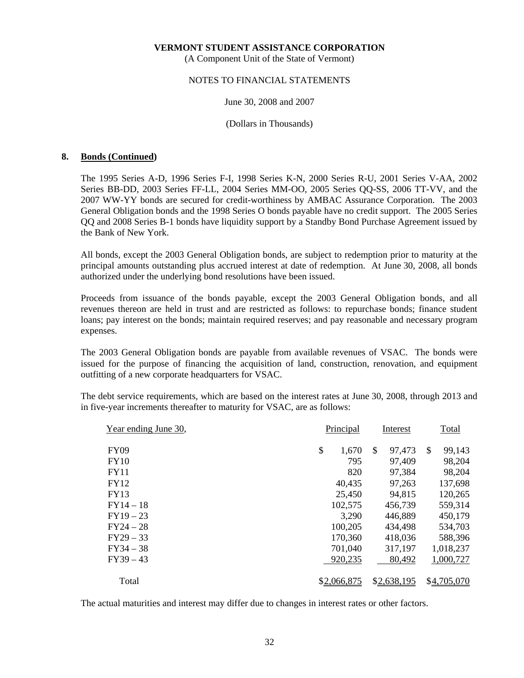(A Component Unit of the State of Vermont)

# NOTES TO FINANCIAL STATEMENTS

#### June 30, 2008 and 2007

(Dollars in Thousands)

# **8. Bonds (Continued)**

 The 1995 Series A-D, 1996 Series F-I, 1998 Series K-N, 2000 Series R-U, 2001 Series V-AA, 2002 Series BB-DD, 2003 Series FF-LL, 2004 Series MM-OO, 2005 Series QQ-SS, 2006 TT-VV, and the 2007 WW-YY bonds are secured for credit-worthiness by AMBAC Assurance Corporation. The 2003 General Obligation bonds and the 1998 Series O bonds payable have no credit support. The 2005 Series QQ and 2008 Series B-1 bonds have liquidity support by a Standby Bond Purchase Agreement issued by the Bank of New York.

 All bonds, except the 2003 General Obligation bonds, are subject to redemption prior to maturity at the principal amounts outstanding plus accrued interest at date of redemption. At June 30, 2008, all bonds authorized under the underlying bond resolutions have been issued.

 Proceeds from issuance of the bonds payable, except the 2003 General Obligation bonds, and all revenues thereon are held in trust and are restricted as follows: to repurchase bonds; finance student loans; pay interest on the bonds; maintain required reserves; and pay reasonable and necessary program expenses.

 The 2003 General Obligation bonds are payable from available revenues of VSAC. The bonds were issued for the purpose of financing the acquisition of land, construction, renovation, and equipment outfitting of a new corporate headquarters for VSAC.

 The debt service requirements, which are based on the interest rates at June 30, 2008, through 2013 and in five-year increments thereafter to maturity for VSAC, are as follows:

| Year ending June 30, | Principal   | Interest                | Total        |
|----------------------|-------------|-------------------------|--------------|
| <b>FY09</b>          | \$<br>1,670 | 97,473<br><sup>\$</sup> | 99,143<br>\$ |
| <b>FY10</b>          | 795         | 97,409                  | 98,204       |
| <b>FY11</b>          | 820         | 97,384                  | 98,204       |
| <b>FY12</b>          | 40,435      | 97,263                  | 137,698      |
| <b>FY13</b>          | 25,450      | 94,815                  | 120,265      |
| $FY14-18$            | 102,575     | 456,739                 | 559,314      |
| $FY19-23$            | 3,290       | 446,889                 | 450,179      |
| $FY24 - 28$          | 100,205     | 434,498                 | 534,703      |
| $FY29 - 33$          | 170,360     | 418,036                 | 588,396      |
| $FY34 - 38$          | 701,040     | 317,197                 | 1,018,237    |
| $FY39 - 43$          | 920,235     | 80,492                  | 1,000,727    |
|                      |             |                         |              |
| Total                | \$2,066,875 | \$2,638,195             | \$4,705,070  |

The actual maturities and interest may differ due to changes in interest rates or other factors.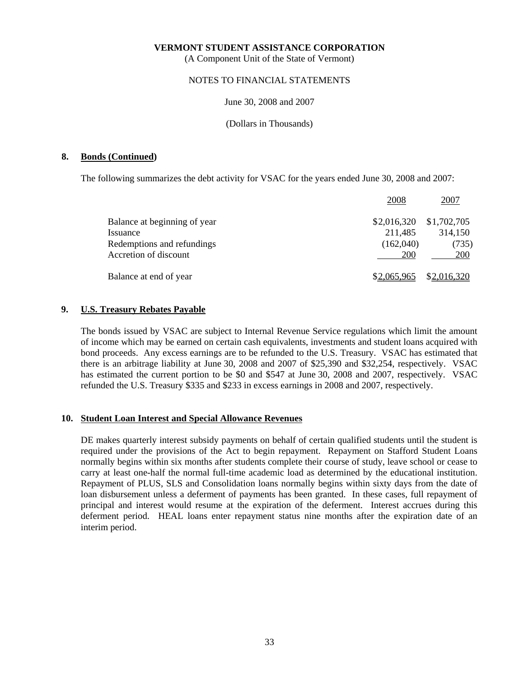(A Component Unit of the State of Vermont)

# NOTES TO FINANCIAL STATEMENTS

## June 30, 2008 and 2007

(Dollars in Thousands)

# **8. Bonds (Continued)**

The following summarizes the debt activity for VSAC for the years ended June 30, 2008 and 2007:

|                              | 2008        | 2007        |
|------------------------------|-------------|-------------|
| Balance at beginning of year | \$2,016,320 | \$1,702,705 |
| Issuance                     | 211,485     | 314,150     |
| Redemptions and refundings   | (162,040)   | (735)       |
| Accretion of discount        | 200         | 200         |
| Balance at end of year       | \$2,065,965 | \$2,016,320 |

# **9. U.S. Treasury Rebates Payable**

 The bonds issued by VSAC are subject to Internal Revenue Service regulations which limit the amount of income which may be earned on certain cash equivalents, investments and student loans acquired with bond proceeds. Any excess earnings are to be refunded to the U.S. Treasury. VSAC has estimated that there is an arbitrage liability at June 30, 2008 and 2007 of \$25,390 and \$32,254, respectively. VSAC has estimated the current portion to be \$0 and \$547 at June 30, 2008 and 2007, respectively. VSAC refunded the U.S. Treasury \$335 and \$233 in excess earnings in 2008 and 2007, respectively.

## **10. Student Loan Interest and Special Allowance Revenues**

 DE makes quarterly interest subsidy payments on behalf of certain qualified students until the student is required under the provisions of the Act to begin repayment. Repayment on Stafford Student Loans normally begins within six months after students complete their course of study, leave school or cease to carry at least one-half the normal full-time academic load as determined by the educational institution. Repayment of PLUS, SLS and Consolidation loans normally begins within sixty days from the date of loan disbursement unless a deferment of payments has been granted. In these cases, full repayment of principal and interest would resume at the expiration of the deferment. Interest accrues during this deferment period. HEAL loans enter repayment status nine months after the expiration date of an interim period.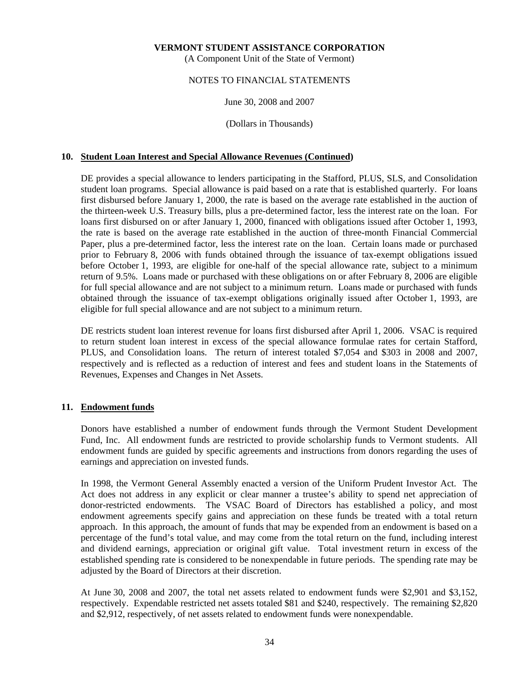(A Component Unit of the State of Vermont)

# NOTES TO FINANCIAL STATEMENTS

# June 30, 2008 and 2007

(Dollars in Thousands)

# **10. Student Loan Interest and Special Allowance Revenues (Continued)**

 DE provides a special allowance to lenders participating in the Stafford, PLUS, SLS, and Consolidation student loan programs. Special allowance is paid based on a rate that is established quarterly. For loans first disbursed before January 1, 2000, the rate is based on the average rate established in the auction of the thirteen-week U.S. Treasury bills, plus a pre-determined factor, less the interest rate on the loan. For loans first disbursed on or after January 1, 2000, financed with obligations issued after October 1, 1993, the rate is based on the average rate established in the auction of three-month Financial Commercial Paper, plus a pre-determined factor, less the interest rate on the loan. Certain loans made or purchased prior to February 8, 2006 with funds obtained through the issuance of tax-exempt obligations issued before October 1, 1993, are eligible for one-half of the special allowance rate, subject to a minimum return of 9.5%. Loans made or purchased with these obligations on or after February 8, 2006 are eligible for full special allowance and are not subject to a minimum return. Loans made or purchased with funds obtained through the issuance of tax-exempt obligations originally issued after October 1, 1993, are eligible for full special allowance and are not subject to a minimum return.

 DE restricts student loan interest revenue for loans first disbursed after April 1, 2006. VSAC is required to return student loan interest in excess of the special allowance formulae rates for certain Stafford, PLUS, and Consolidation loans. The return of interest totaled \$7,054 and \$303 in 2008 and 2007, respectively and is reflected as a reduction of interest and fees and student loans in the Statements of Revenues, Expenses and Changes in Net Assets.

# **11. Endowment funds**

 Donors have established a number of endowment funds through the Vermont Student Development Fund, Inc. All endowment funds are restricted to provide scholarship funds to Vermont students. All endowment funds are guided by specific agreements and instructions from donors regarding the uses of earnings and appreciation on invested funds.

 In 1998, the Vermont General Assembly enacted a version of the Uniform Prudent Investor Act. The Act does not address in any explicit or clear manner a trustee's ability to spend net appreciation of donor-restricted endowments. The VSAC Board of Directors has established a policy, and most endowment agreements specify gains and appreciation on these funds be treated with a total return approach. In this approach, the amount of funds that may be expended from an endowment is based on a percentage of the fund's total value, and may come from the total return on the fund, including interest and dividend earnings, appreciation or original gift value. Total investment return in excess of the established spending rate is considered to be nonexpendable in future periods. The spending rate may be adjusted by the Board of Directors at their discretion.

 At June 30, 2008 and 2007, the total net assets related to endowment funds were \$2,901 and \$3,152, respectively. Expendable restricted net assets totaled \$81 and \$240, respectively. The remaining \$2,820 and \$2,912, respectively, of net assets related to endowment funds were nonexpendable.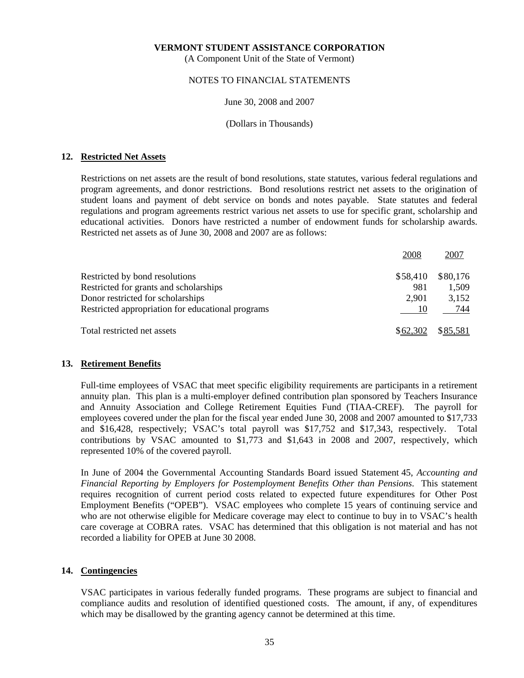(A Component Unit of the State of Vermont)

# NOTES TO FINANCIAL STATEMENTS

## June 30, 2008 and 2007

(Dollars in Thousands)

# **12. Restricted Net Assets**

 Restrictions on net assets are the result of bond resolutions, state statutes, various federal regulations and program agreements, and donor restrictions. Bond resolutions restrict net assets to the origination of student loans and payment of debt service on bonds and notes payable. State statutes and federal regulations and program agreements restrict various net assets to use for specific grant, scholarship and educational activities. Donors have restricted a number of endowment funds for scholarship awards. Restricted net assets as of June 30, 2008 and 2007 are as follows:

|                                                   | 2008     | 2007     |
|---------------------------------------------------|----------|----------|
| Restricted by bond resolutions                    | \$58,410 | \$80,176 |
| Restricted for grants and scholarships            | 981      | 1,509    |
| Donor restricted for scholarships                 | 2,901    | 3,152    |
| Restricted appropriation for educational programs | 10       | 744      |
| Total restricted net assets                       | \$62,302 | \$85,581 |

## **13. Retirement Benefits**

 Full-time employees of VSAC that meet specific eligibility requirements are participants in a retirement annuity plan. This plan is a multi-employer defined contribution plan sponsored by Teachers Insurance and Annuity Association and College Retirement Equities Fund (TIAA-CREF). The payroll for employees covered under the plan for the fiscal year ended June 30, 2008 and 2007 amounted to \$17,733 and \$16,428, respectively; VSAC's total payroll was \$17,752 and \$17,343, respectively. Total contributions by VSAC amounted to \$1,773 and \$1,643 in 2008 and 2007, respectively, which represented 10% of the covered payroll.

 In June of 2004 the Governmental Accounting Standards Board issued Statement 45, *Accounting and Financial Reporting by Employers for Postemployment Benefits Other than Pensions*. This statement requires recognition of current period costs related to expected future expenditures for Other Post Employment Benefits ("OPEB"). VSAC employees who complete 15 years of continuing service and who are not otherwise eligible for Medicare coverage may elect to continue to buy in to VSAC's health care coverage at COBRA rates. VSAC has determined that this obligation is not material and has not recorded a liability for OPEB at June 30 2008.

# **14. Contingencies**

 VSAC participates in various federally funded programs. These programs are subject to financial and compliance audits and resolution of identified questioned costs. The amount, if any, of expenditures which may be disallowed by the granting agency cannot be determined at this time.